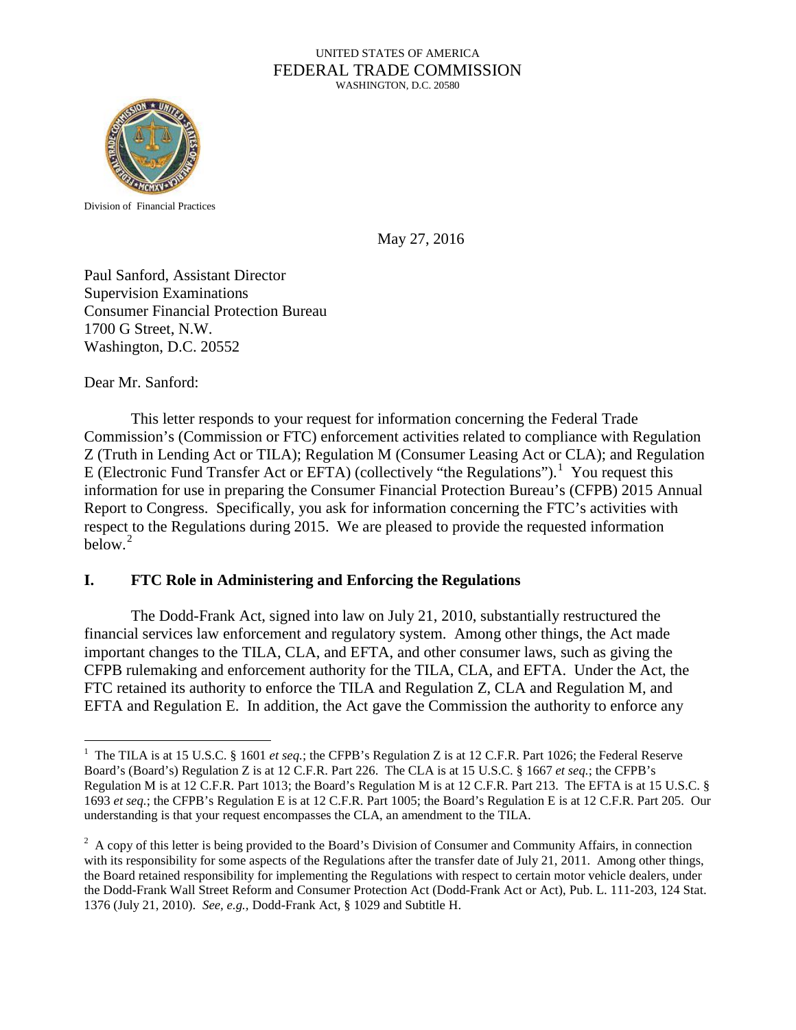#### UNITED STATES OF AMERICA FEDERAL TRADE COMMISSION WASHINGTON, D.C. 20580



Division of Financial Practices

May 27, 2016

Paul Sanford, Assistant Director Supervision Examinations Consumer Financial Protection Bureau 1700 G Street, N.W. Washington, D.C. 20552

Dear Mr. Sanford:

This letter responds to your request for information concerning the Federal Trade Commission's (Commission or FTC) enforcement activities related to compliance with Regulation Z (Truth in Lending Act or TILA); Regulation M (Consumer Leasing Act or CLA); and Regulation E (Electronic Fund Transfer Act or EFTA) (collectively "the Regulations").<sup>[1](#page-0-0)</sup> You request this information for use in preparing the Consumer Financial Protection Bureau's (CFPB) 2015 Annual Report to Congress. Specifically, you ask for information concerning the FTC's activities with respect to the Regulations during 2015. We are pleased to provide the requested information  $below.<sup>2</sup>$  $below.<sup>2</sup>$  $below.<sup>2</sup>$ 

#### **I. FTC Role in Administering and Enforcing the Regulations**

The Dodd-Frank Act, signed into law on July 21, 2010, substantially restructured the financial services law enforcement and regulatory system. Among other things, the Act made important changes to the TILA, CLA, and EFTA, and other consumer laws, such as giving the CFPB rulemaking and enforcement authority for the TILA, CLA, and EFTA. Under the Act, the FTC retained its authority to enforce the TILA and Regulation Z, CLA and Regulation M, and EFTA and Regulation E. In addition, the Act gave the Commission the authority to enforce any

<span id="page-0-0"></span> $\frac{1}{1}$ <sup>1</sup> The TILA is at 15 U.S.C. § 1601 *et seq.*; the CFPB's Regulation Z is at 12 C.F.R. Part 1026; the Federal Reserve Board's (Board's) Regulation Z is at 12 C.F.R. Part 226. The CLA is at 15 U.S.C. § 1667 *et seq.*; the CFPB's Regulation M is at 12 C.F.R. Part 1013; the Board's Regulation M is at 12 C.F.R. Part 213. The EFTA is at 15 U.S.C. § 1693 *et seq.*; the CFPB's Regulation E is at 12 C.F.R. Part 1005; the Board's Regulation E is at 12 C.F.R. Part 205. Our understanding is that your request encompasses the CLA, an amendment to the TILA.

<span id="page-0-1"></span> $2^2$  A copy of this letter is being provided to the Board's Division of Consumer and Community Affairs, in connection with its responsibility for some aspects of the Regulations after the transfer date of July 21, 2011. Among other things, the Board retained responsibility for implementing the Regulations with respect to certain motor vehicle dealers, under the Dodd-Frank Wall Street Reform and Consumer Protection Act (Dodd-Frank Act or Act), Pub. L. 111-203, 124 Stat. 1376 (July 21, 2010). *See, e.g.,* Dodd-Frank Act, § 1029 and Subtitle H.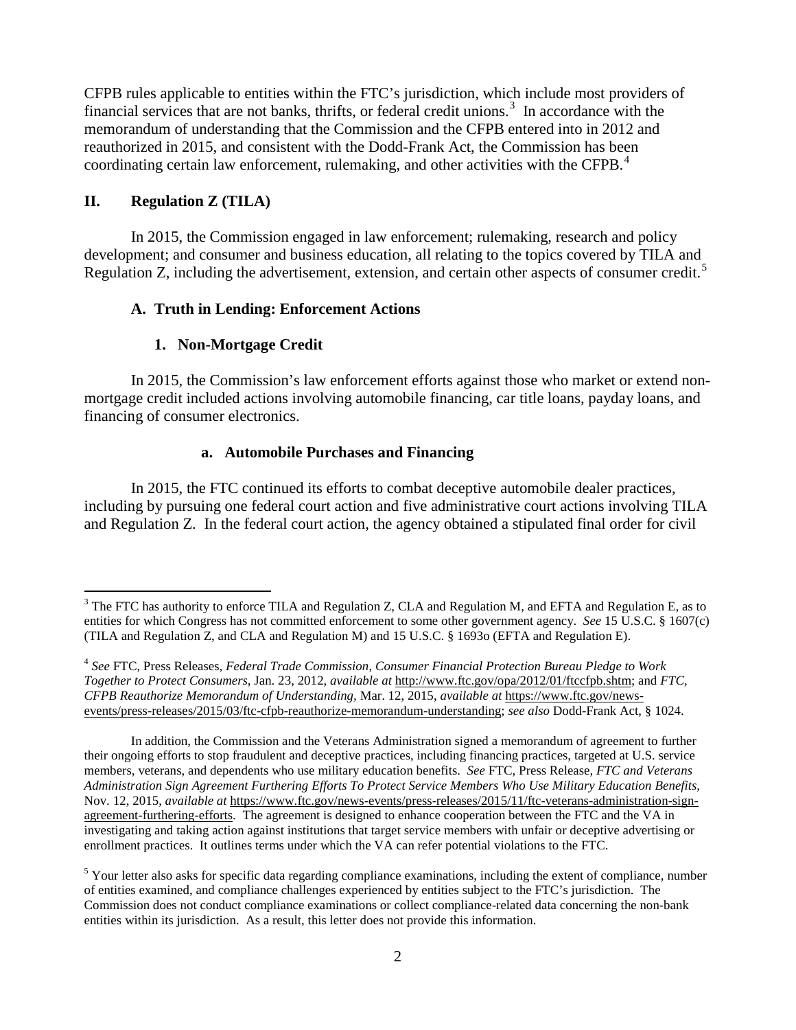CFPB rules applicable to entities within the FTC's jurisdiction, which include most providers of financial services that are not banks, thrifts, or federal credit unions.<sup>[3](#page-1-0)</sup> In accordance with the memorandum of understanding that the Commission and the CFPB entered into in 2012 and reauthorized in 2015, and consistent with the Dodd-Frank Act, the Commission has been coordinating certain law enforcement, rulemaking, and other activities with the CFPB.<sup>[4](#page-1-1)</sup>

### **II. Regulation Z (TILA)**

In 2015, the Commission engaged in law enforcement; rulemaking, research and policy development; and consumer and business education, all relating to the topics covered by TILA and Regulation Z, including the advertisement, extension, and certain other aspects of consumer credit.<sup>[5](#page-1-2)</sup>

## **A. Truth in Lending: Enforcement Actions**

### **1. Non-Mortgage Credit**

In 2015, the Commission's law enforcement efforts against those who market or extend nonmortgage credit included actions involving automobile financing, car title loans, payday loans, and financing of consumer electronics.

#### **a. Automobile Purchases and Financing**

In 2015, the FTC continued its efforts to combat deceptive automobile dealer practices, including by pursuing one federal court action and five administrative court actions involving TILA and Regulation Z. In the federal court action, the agency obtained a stipulated final order for civil

<span id="page-1-0"></span> $3$  The FTC has authority to enforce TILA and Regulation Z, CLA and Regulation M, and EFTA and Regulation E, as to entities for which Congress has not committed enforcement to some other government agency. *See* 15 U.S.C. § 1607(c) (TILA and Regulation Z, and CLA and Regulation M) and 15 U.S.C. § 1693o (EFTA and Regulation E).

<span id="page-1-1"></span><sup>4</sup> *See* FTC, Press Releases, *Federal Trade Commission, Consumer Financial Protection Bureau Pledge to Work Together to Protect Consumers*, Jan. 23, 2012, *available at* http://www.ftc.gov/opa/2012/01/ftccfpb.shtm; and *FTC, CFPB Reauthorize Memorandum of Understanding,* Mar. 12, 2015, *available at* https://www.ftc.gov/newsevents/press-releases/2015/03/ftc-cfpb-reauthorize-memorandum-understanding; *see also* Dodd-Frank Act, § 1024.

In addition, the Commission and the Veterans Administration signed a [memorandum of agreement](https://www.ftc.gov/policy/cooperation-agreements/memorandum-agreement-between-ftc-department-veterans-affairs) to further their ongoing efforts to stop fraudulent and deceptive practices, including financing practices, targeted at U.S. service members, veterans, and dependents who use military education benefits. *See* FTC, Press Release, *FTC and Veterans Administration Sign Agreement Furthering Efforts To Protect Service Members Who Use Military Education Benefits*, Nov. 12, 2015, *available at* https://www.ftc.gov/news-events/press-releases/2015/11/ftc-veterans-administration-signagreement-furthering-efforts. The agreement is designed to enhance cooperation between the FTC and the VA in investigating and taking action against institutions that target service members with unfair or deceptive advertising or enrollment practices. It outlines terms under which the VA can refer potential violations to the FTC.

<span id="page-1-2"></span> $<sup>5</sup>$  Your letter also asks for specific data regarding compliance examinations, including the extent of compliance, number</sup> of entities examined, and compliance challenges experienced by entities subject to the FTC's jurisdiction. The Commission does not conduct compliance examinations or collect compliance-related data concerning the non-bank entities within its jurisdiction. As a result, this letter does not provide this information.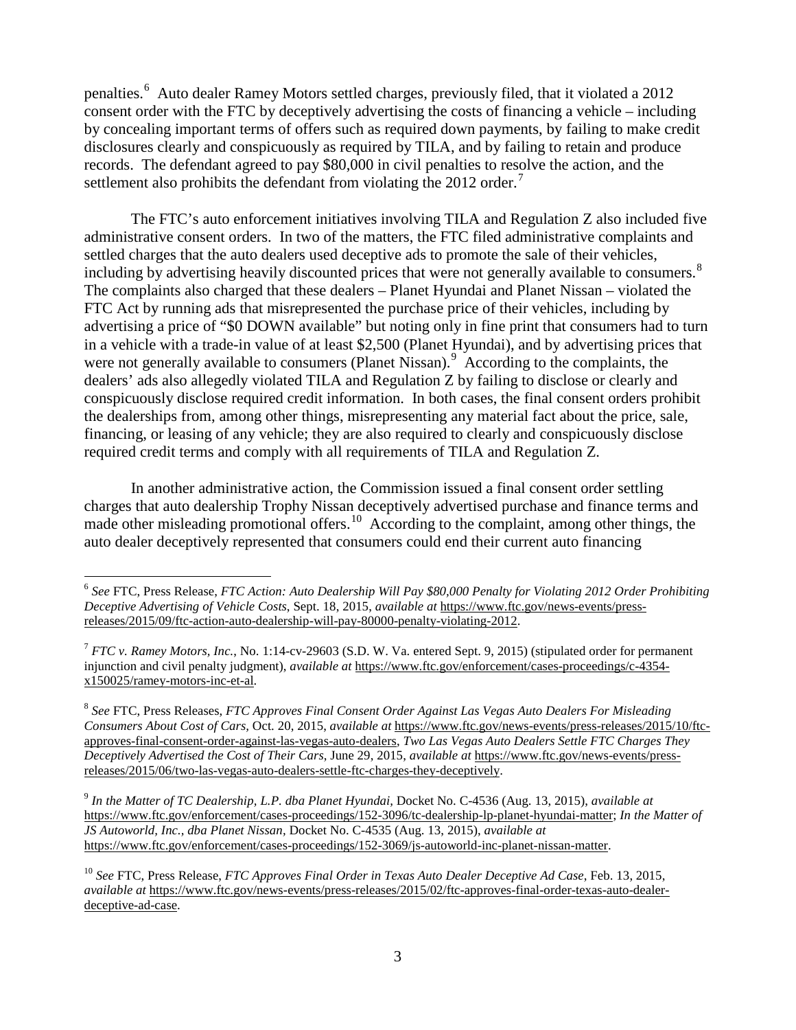penalties. [6](#page-2-0) Auto dealer Ramey Motors settled charges, previously filed, that it violated a 2012 consent order with the FTC by deceptively advertising the costs of financing a vehicle – including by concealing important terms of offers such as required down payments, by failing to make credit disclosures clearly and conspicuously as required by TILA, and by failing to retain and produce records. The defendant agreed to pay \$80,000 in civil penalties to resolve the action, and the settlement also prohibits the defendant from violating the 2012 order.<sup>[7](#page-2-1)</sup>

The FTC's auto enforcement initiatives involving TILA and Regulation Z also included five administrative consent orders. In two of the matters, the FTC filed administrative complaints and settled charges that the auto dealers used deceptive ads to promote the sale of their vehicles, including by advertising heavily discounted prices that were not generally available to consumers.<sup>[8](#page-2-2)</sup> The complaints also charged that these dealers – Planet Hyundai and Planet Nissan – violated the FTC Act by running ads that misrepresented the purchase price of their vehicles, including by advertising a price of "\$0 DOWN available" but noting only in fine print that consumers had to turn in a vehicle with a trade-in value of at least \$2,500 (Planet Hyundai), and by advertising prices that were not generally available to consumers (Planet Nissan).<sup>[9](#page-2-3)</sup> According to the complaints, the dealers' ads also allegedly violated TILA and Regulation Z by failing to disclose or clearly and conspicuously disclose required credit information. In both cases, the final consent orders prohibit the dealerships from, among other things, misrepresenting any material fact about the price, sale, financing, or leasing of any vehicle; they are also required to clearly and conspicuously disclose required credit terms and comply with all requirements of TILA and Regulation Z.

In another administrative action, the Commission issued a final consent order settling charges that auto dealership Trophy Nissan deceptively advertised purchase and finance terms and made other misleading promotional offers.<sup>[10](#page-2-4)</sup> According to the complaint, among other things, the auto dealer deceptively represented that consumers could end their current auto financing

<span id="page-2-0"></span> <sup>6</sup> *See* FTC, Press Release, *FTC Action: Auto Dealership Will Pay \$80,000 Penalty for Violating 2012 Order Prohibiting Deceptive Advertising of Vehicle Costs*, Sept. 18, 2015, *available at* https://www.ftc.gov/news-events/pressreleases/2015/09/ftc-action-auto-dealership-will-pay-80000-penalty-violating-2012.

<span id="page-2-1"></span><sup>7</sup> *FTC v. Ramey Motors, Inc.*, No. 1:14-cv-29603 (S.D. W. Va. entered Sept. 9, 2015) (stipulated order for permanent injunction and civil penalty judgment), *available at* https://www.ftc.gov/enforcement/cases-proceedings/c-4354 x150025/ramey-motors-inc-et-al.

<span id="page-2-2"></span><sup>8</sup> *See* FTC, Press Releases, *FTC Approves Final Consent Order Against Las Vegas Auto Dealers For Misleading Consumers About Cost of Cars,* Oct. 20, 2015, *available at* https://www.ftc.gov/news-events/press-releases/2015/10/ftcapproves-final-consent-order-against-las-vegas-auto-dealers, *Two Las Vegas Auto Dealers Settle FTC Charges They Deceptively Advertised the Cost of Their Cars*, June 29, 2015, *available at* https://www.ftc.gov/news-events/pressreleases/2015/06/two-las-vegas-auto-dealers-settle-ftc-charges-they-deceptively.

<span id="page-2-3"></span><sup>9</sup> *In the Matter of TC Dealership, L.P. dba Planet Hyundai,* Docket No. C-4536 (Aug. 13, 2015), *available at*  https://www.ftc.gov/enforcement/cases-proceedings/152-3096/tc-dealership-lp-planet-hyundai-matter; *In the Matter of JS Autoworld, Inc., dba Planet Nissan,* Docket No. C-4535 (Aug. 13, 2015), *available at*  https://www.ftc.gov/enforcement/cases-proceedings/152-3069/js-autoworld-inc-planet-nissan-matter.

<span id="page-2-4"></span><sup>10</sup> *See* FTC, Press Release, *FTC Approves Final Order in Texas Auto Dealer Deceptive Ad Case*, Feb. 13, 2015, *available at* [https://www.ftc.gov/news-events/press-releases/2015/02/ftc-approves-final-order-texas-auto-dealer](https://www.ftc.gov/news-events/press-releases/2015/02/ftc-approves-final-order-texas-auto-dealer-deceptive-ad-case)[deceptive-ad-case.](https://www.ftc.gov/news-events/press-releases/2015/02/ftc-approves-final-order-texas-auto-dealer-deceptive-ad-case)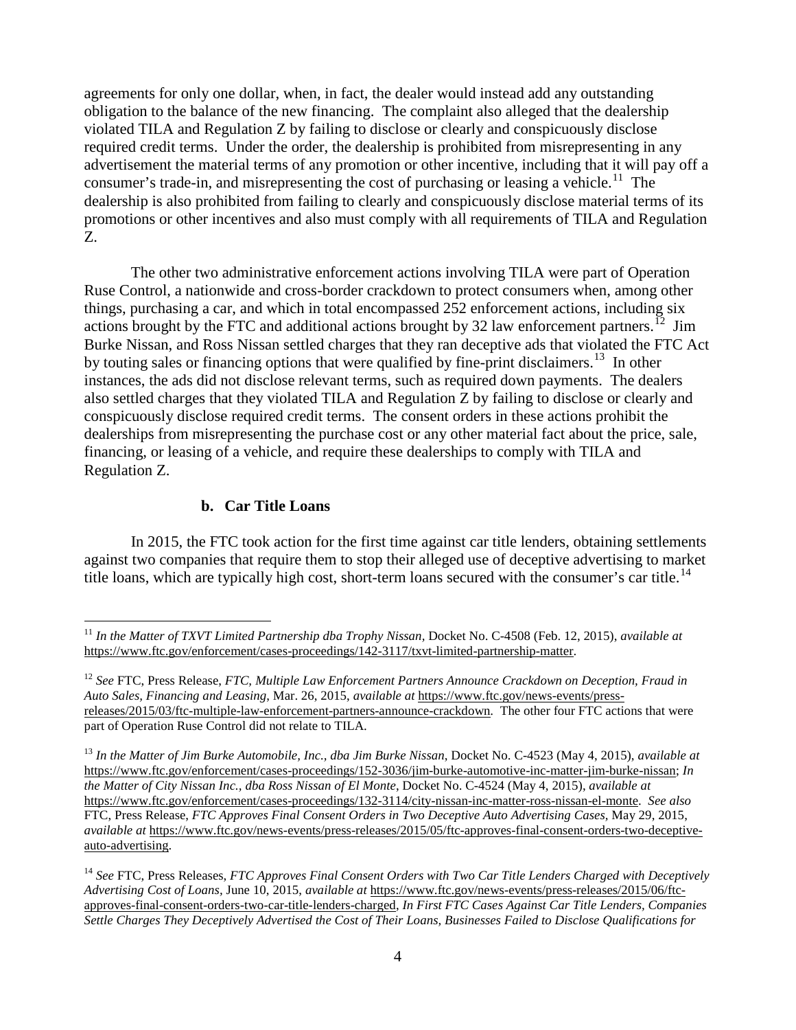agreements for only one dollar, when, in fact, the dealer would instead add any outstanding obligation to the balance of the new financing. The complaint also alleged that the dealership violated TILA and Regulation Z by failing to disclose or clearly and conspicuously disclose required credit terms. Under the order, the dealership is prohibited from misrepresenting in any advertisement the material terms of any promotion or other incentive, including that it will pay off a consumer's trade-in, and misrepresenting the cost of purchasing or leasing a vehicle.<sup>[11](#page-3-0)</sup> The dealership is also prohibited from failing to clearly and conspicuously disclose material terms of its promotions or other incentives and also must comply with all requirements of TILA and Regulation Z.

The other two administrative enforcement actions involving TILA were part of Operation Ruse Control, a nationwide and cross-border crackdown to protect consumers when, among other things, purchasing a car, and which in total encompassed 252 enforcement actions, including six actions brought by the FTC and additional actions brought by 32 law enforcement partners.<sup>[12](#page-3-1)</sup> Jim [Burke Nissan,](https://www.ftc.gov/enforcement/cases-proceedings/152-3036/jim-burke-automotive-inc-matter-jim-burke-nissan) and [Ross Nissan](https://www.ftc.gov/enforcement/cases-proceedings/132-3114/city-nissan-inc-matter-ross-nissan-el-monte) settled charges that they ran deceptive ads that violated the FTC Act by touting sales or financing options that were qualified by fine-print disclaimers.<sup>[13](#page-3-2)</sup> In other instances, the ads did not disclose relevant terms, such as required down payments. The dealers also settled charges that they violated TILA and Regulation Z by failing to disclose or clearly and conspicuously disclose required credit terms. The consent orders in these actions prohibit the dealerships from misrepresenting the purchase cost or any other material fact about the price, sale, financing, or leasing of a vehicle, and require these dealerships to comply with TILA and Regulation Z.

#### **b. Car Title Loans**

In 2015, the FTC took action for the first time against car title lenders, obtaining settlements against two companies that require them to stop their alleged use of deceptive advertising to market title loans, which are typically high cost, short-term loans secured with the consumer's car title.<sup>[14](#page-3-3)</sup>

<span id="page-3-0"></span> <sup>11</sup> *In the Matter of TXVT Limited Partnership dba Trophy Nissan,* Docket No. C-4508 (Feb. 12, 2015), *available at* https://www.ftc.gov/enforcement/cases-proceedings/142-3117/txvt-limited-partnership-matter.

<span id="page-3-1"></span><sup>12</sup> *See* FTC, Press Release, *FTC, Multiple Law Enforcement Partners Announce Crackdown on Deception, Fraud in Auto Sales, Financing and Leasing*, Mar. 26, 2015, *available at* https://www.ftc.gov/news-events/pressreleases/2015/03/ftc-multiple-law-enforcement-partners-announce-crackdown. The other four FTC actions that were part of Operation Ruse Control did not relate to TILA.

<span id="page-3-2"></span><sup>13</sup> *In the Matter of Jim Burke Automobile, Inc., dba Jim Burke Nissan*, Docket No. C-4523 (May 4, 2015), *available at* https://www.ftc.gov/enforcement/cases-proceedings/152-3036/jim-burke-automotive-inc-matter-jim-burke-nissan; *In the Matter of City Nissan Inc., dba Ross Nissan of El Monte*, Docket No. C-4524 (May 4, 2015), *available at* https://www.ftc.gov/enforcement/cases-proceedings/132-3114/city-nissan-inc-matter-ross-nissan-el-monte. *See also*  FTC, Press Release, *FTC Approves Final Consent Orders in Two Deceptive Auto Advertising Cases,* May 29, 2015, *available at* https://www.ftc.gov/news-events/press-releases/2015/05/ftc-approves-final-consent-orders-two-deceptiveauto-advertising.

<span id="page-3-3"></span><sup>14</sup> *See* FTC, Press Releases, *FTC Approves Final Consent Orders with Two Car Title Lenders Charged with Deceptively Advertising Cost of Loans,* June 10, 2015, *available at* https://www.ftc.gov/news-events/press-releases/2015/06/ftcapproves-final-consent-orders-two-car-title-lenders-charged, *In First FTC Cases Against Car Title Lenders, Companies Settle Charges They Deceptively Advertised the Cost of Their Loans, Businesses Failed to Disclose Qualifications for*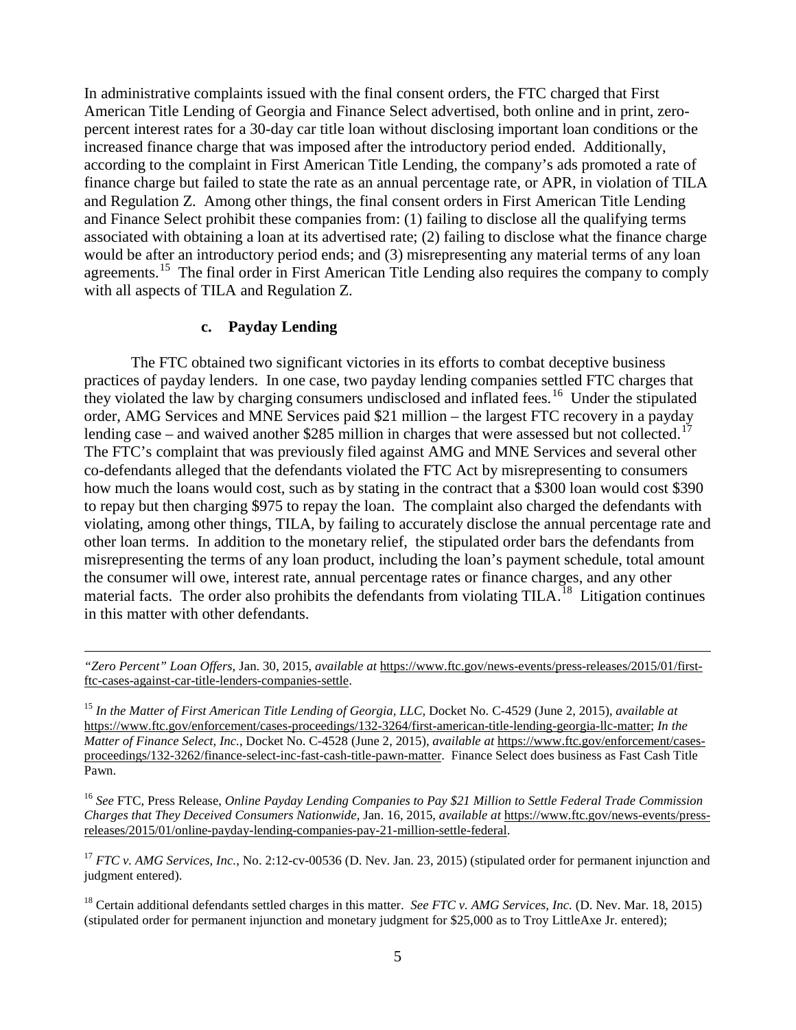In administrative complaints issued with the final consent orders, the FTC charged that [First](https://www.ftc.gov/system/files/documents/cases/150130firstamericancmpt.pdf)  [American Title Lending of Georgia a](https://www.ftc.gov/system/files/documents/cases/150130firstamericancmpt.pdf)nd [Finance Select a](https://www.ftc.gov/system/files/documents/cases/150130fastcashcmpt.pdf)dvertised, both online and in print, zeropercent interest rates for a 30-day car title loan without disclosing important loan conditions or the increased finance charge that was imposed after the introductory period ended. Additionally, according to the complaint in First American Title Lending, the company's ads promoted a rate of finance charge but failed to state the rate as an annual percentage rate, or APR, in violation of TILA and Regulation Z. Among other things, the final consent orders in [First American Title Lending](https://www.ftc.gov/system/files/documents/cases/150130firstamericanagree.pdf) and [Finance Select](https://www.ftc.gov/system/files/documents/cases/150130fastcashagree.pdf) prohibit these companies from: (1) failing to disclose all the qualifying terms associated with obtaining a loan at its advertised rate; (2) failing to disclose what the finance charge would be after an introductory period ends; and (3) misrepresenting any material terms of any loan agreements.<sup>[15](#page-4-0)</sup> The final order in First American Title Lending also requires the company to comply with all aspects of TILA and Regulation Z.

#### **c. Payday Lending**

<u>.</u>

The FTC obtained two significant victories in its efforts to combat deceptive business practices of payday lenders. In one case, two payday lending companies settled FTC charges that they violated the law by charging consumers undisclosed and inflated fees.<sup>[16](#page-4-1)</sup> Under the stipulated [order, AMG Services and MNE Services paid](https://www.ftc.gov/system/files/documents/cases/150116amgorder.pdf) \$21 million – the largest FTC recovery in a payday lending case – and waived another \$285 million in charges that were assessed but not collected.<sup>17</sup> The FTC's [complaint that was previously filed against AMG and MNE Services](https://www.ftc.gov/news-events/press-releases/2012/04/ftc-charges-payday-lending-scheme-piling-inflated-fees-borrowers) and several other co-defendants alleged that the defendants violated the FTC Act by misrepresenting to consumers how much the loans would cost, such as by stating in the contract that a \$300 loan would cost \$390 to repay but then charging \$975 to repay the loan. The complaint also charged the defendants with violating, among other things, TILA, by failing to accurately disclose the annual percentage rate and other loan terms. In addition to the monetary relief, the stipulated order bars the defendants from misrepresenting the terms of any loan product, including the loan's payment schedule, total amount the consumer will owe, interest rate, annual percentage rates or finance charges, and any other material facts. The order also prohibits the defendants from violating TILA.<sup>[18](#page-4-3)</sup> Litigation continues in this matter with other defendants.

<span id="page-4-1"></span><sup>16</sup> *See* FTC, Press Release, *Online Payday Lending Companies to Pay \$21 Million to Settle Federal Trade Commission Charges that They Deceived Consumers Nationwide*, Jan. 16, 2015, *available at* https://www.ftc.gov/news-events/pressreleases/2015/01/online-payday-lending-companies-pay-21-million-settle-federal.

<span id="page-4-2"></span><sup>17</sup> *FTC v. AMG Services, Inc.*, No. 2:12-cv-00536 (D. Nev. Jan. 23, 2015) (stipulated order for permanent injunction and judgment entered).

<span id="page-4-3"></span><sup>18</sup> Certain additional defendants settled charges in this matter. *See FTC v. AMG Services, Inc.* (D. Nev. Mar. 18, 2015) (stipulated order for permanent injunction and monetary judgment for \$25,000 as to Troy LittleAxe Jr. entered);

*<sup>&</sup>quot;Zero Percent" Loan Offers,* Jan. 30, 2015, *available at* https://www.ftc.gov/news-events/press-releases/2015/01/firstftc-cases-against-car-title-lenders-companies-settle.

<span id="page-4-0"></span><sup>15</sup> *In the Matter of First American Title Lending of Georgia, LLC,* Docket No. C-4529 (June 2, 2015), *available at* https://www.ftc.gov/enforcement/cases-proceedings/132-3264/first-american-title-lending-georgia-llc-matter; *In the Matter of Finance Select, Inc.*, Docket No. C-4528 (June 2, 2015), *available at* https://www.ftc.gov/enforcement/casesproceedings/132-3262/finance-select-inc-fast-cash-title-pawn-matter. Finance Select does business as Fast Cash Title Pawn.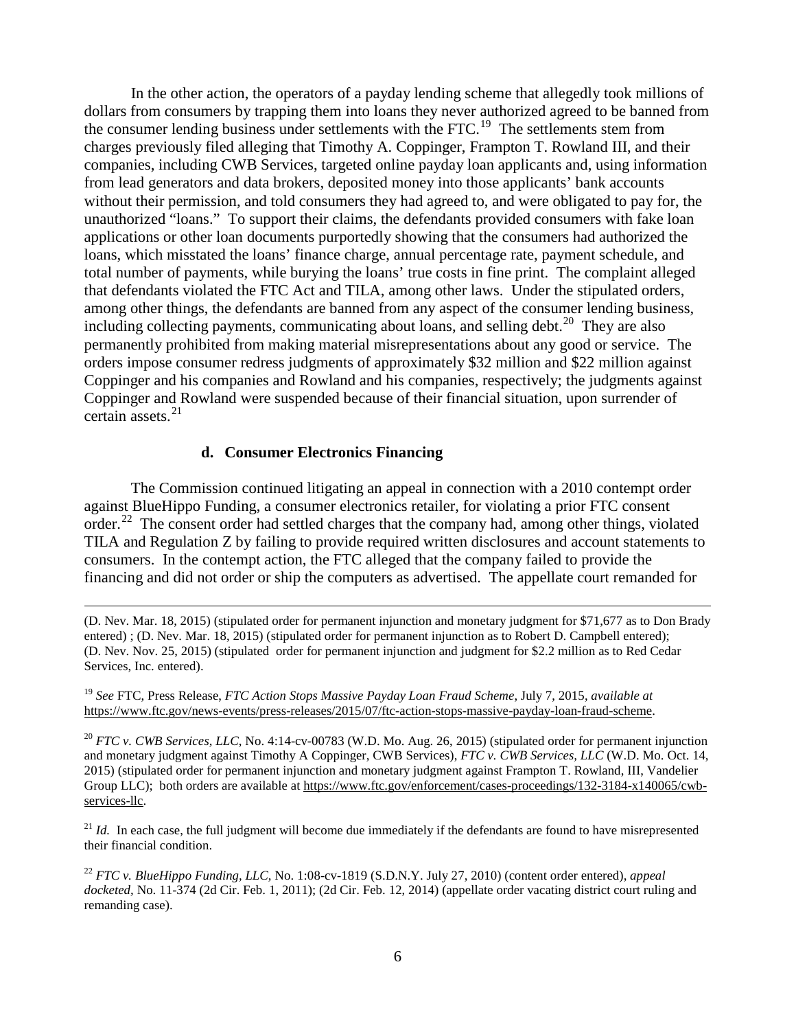In the other action, the operators of a payday lending scheme that allegedly took millions of dollars from consumers by trapping them into loans they never authorized agreed to be banned from the consumer lending business under settlements with the FTC.<sup>19</sup> The settlements stem from charges previously filed [alleging that Timothy A. Coppinger, Frampton T. Rowland III,](https://www.ftc.gov/news-events/press-releases/2014/09/ftc-action-halts-payday-loan-scheme-bilked-tens-millions) and their companies, including CWB Services, targeted online payday loan applicants and, using information from lead generators and data brokers, deposited money into those applicants' bank accounts without their permission, and told consumers they had agreed to, and were obligated to pay for, the unauthorized "loans." To support their claims, the defendants provided consumers with fake loan applications or other loan documents purportedly showing that the consumers had authorized the loans, which misstated the loans' finance charge, annual percentage rate, payment schedule, and total number of payments, while burying the loans' true costs in fine print. The complaint alleged that defendants violated the FTC Act and TILA, among other laws. Under the stipulated orders, among other things, the defendants are banned from any aspect of the consumer lending business, including collecting payments, communicating about loans, and selling debt.<sup>[20](#page-5-1)</sup> They are also permanently prohibited from making material misrepresentations about any good or service. The orders impose consumer redress judgments of approximately \$32 million and \$22 million against Coppinger and his companies and Rowland and his companies, respectively; the judgments against Coppinger and Rowland were suspended because of their financial situation, upon surrender of certain assets. $21$ 

#### **d. Consumer Electronics Financing**

The Commission continued litigating an appeal in connection with a 2010 contempt order against BlueHippo Funding, a consumer electronics retailer, for violating a prior FTC consent order.<sup>[22](#page-5-3)</sup> The consent order had settled charges that the company had, among other things, violated TILA and Regulation Z by failing to provide required written disclosures and account statements to consumers. In the contempt action, the FTC alleged that the company failed to provide the financing and did not order or ship the computers as advertised. The appellate court remanded for

 (D. Nev. Mar. 18, 2015) (stipulated order for permanent injunction and monetary judgment for \$71,677 as to Don Brady entered) ; (D. Nev. Mar. 18, 2015) (stipulated order for permanent injunction as to Robert D. Campbell entered); (D. Nev. Nov. 25, 2015) (stipulated order for permanent injunction and judgment for \$2.2 million as to Red Cedar Services, Inc. entered).

<span id="page-5-0"></span><sup>19</sup> *See* FTC, Press Release, *FTC Action Stops Massive Payday Loan Fraud Scheme*, July 7, 2015, *available at* https://www.ftc.gov/news-events/press-releases/2015/07/ftc-action-stops-massive-payday-loan-fraud-scheme.

<span id="page-5-1"></span><sup>20</sup> *FTC v. CWB Services, LLC*, No. 4:14-cv-00783 (W.D. Mo. Aug. 26, 2015) (stipulated order for permanent injunction and monetary judgment against Timothy A Coppinger, CWB Services), *FTC v. CWB Services, LLC* (W.D. Mo. Oct. 14, 2015) (stipulated order for permanent injunction and monetary judgment against Frampton T. Rowland, III, Vandelier Group LLC); both orders are available at https://www.ftc.gov/enforcement/cases-proceedings/132-3184-x140065/cwbservices-llc.

<span id="page-5-2"></span> $^{21}$  *Id.* In each case, the full judgment will become due immediately if the defendants are found to have misrepresented their financial condition.

<span id="page-5-3"></span><sup>22</sup> *FTC v. BlueHippo Funding, LLC,* No. 1:08-cv-1819 (S.D.N.Y. July 27, 2010) (content order entered), *appeal docketed,* No. 11-374 (2d Cir. Feb. 1, 2011); (2d Cir. Feb. 12, 2014) (appellate order vacating district court ruling and remanding case).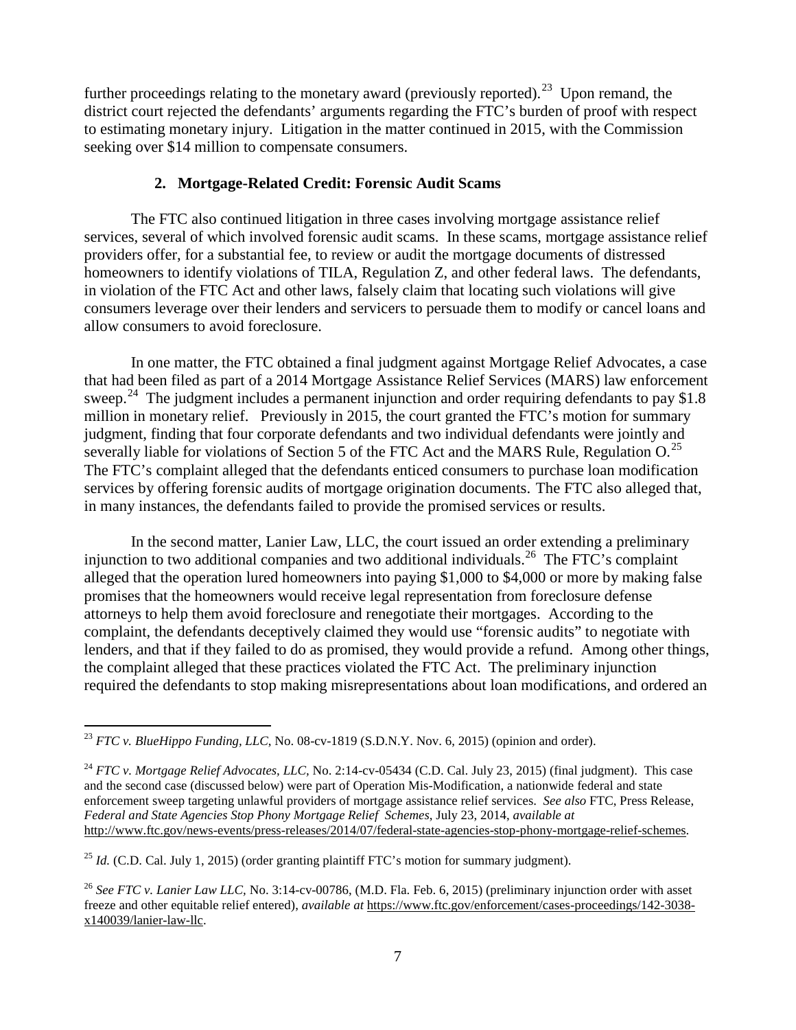further proceedings relating to the monetary award (previously reported).<sup>[23](#page-6-0)</sup> Upon remand, the district court rejected the defendants' arguments regarding the FTC's burden of proof with respect to estimating monetary injury. Litigation in the matter continued in 2015, with the Commission seeking over \$14 million to compensate consumers.

### **2. Mortgage-Related Credit: Forensic Audit Scams**

The FTC also continued litigation in three cases involving mortgage assistance relief services, several of which involved forensic audit scams. In these scams, mortgage assistance relief providers offer, for a substantial fee, to review or audit the mortgage documents of distressed homeowners to identify violations of TILA, Regulation Z, and other federal laws. The defendants, in violation of the FTC Act and other laws, falsely claim that locating such violations will give consumers leverage over their lenders and servicers to persuade them to modify or cancel loans and allow consumers to avoid foreclosure.

In one matter, the FTC obtained a final judgment against Mortgage Relief Advocates, a case that had been filed as part of a 2014 Mortgage Assistance Relief Services (MARS) law enforcement sweep.<sup>[24](#page-6-1)</sup> The judgment includes a permanent injunction and order requiring defendants to pay \$1.8 million in monetary relief. Previously in 2015, the court granted the FTC's motion for summary judgment, finding that four corporate defendants and two individual defendants were jointly and severally liable for violations of Section 5 of the FTC Act and the MARS Rule, Regulation  $O$ .<sup>25</sup> The FTC's complaint alleged that the defendants enticed consumers to purchase loan modification services by offering forensic audits of mortgage origination documents. The FTC also alleged that, in many instances, the defendants failed to provide the promised services or results.

In the second matter, Lanier Law, LLC, the court issued an order extending a preliminary injunction to two additional companies and two additional individuals.<sup>[26](#page-6-3)</sup> The FTC's complaint alleged that the operation lured homeowners into paying \$1,000 to \$4,000 or more by making false promises that the homeowners would receive legal representation from foreclosure defense attorneys to help them avoid foreclosure and renegotiate their mortgages. According to the complaint, the defendants deceptively claimed they would use "forensic audits" to negotiate with lenders, and that if they failed to do as promised, they would provide a refund. Among other things, the complaint alleged that these practices violated the FTC Act. The preliminary injunction required the defendants to stop making misrepresentations about loan modifications, and ordered an

<span id="page-6-2"></span><sup>25</sup> *Id.* (C.D. Cal. July 1, 2015) (order granting plaintiff FTC's motion for summary judgment).

<span id="page-6-0"></span><sup>&</sup>lt;sup>23</sup> *FTC v. BlueHippo Funding, LLC*, No. 08-cv-1819 (S.D.N.Y. Nov. 6, 2015) (opinion and order).

<span id="page-6-1"></span><sup>&</sup>lt;sup>24</sup> *FTC v. Mortgage Relief Advocates, LLC, No.* 2:14-cv-05434 (C.D. Cal. July 23, 2015) (final judgment). This case and the second case (discussed below) were part of Operation Mis-Modification, a nationwide federal and state enforcement sweep targeting unlawful providers of mortgage assistance relief services. *See also* FTC, Press Release, *Federal and State Agencies Stop Phony Mortgage Relief Schemes*, July 23, 2014, *available at*  http://www.ftc.gov/news-events/press-releases/2014/07/federal-state-agencies-stop-phony-mortgage-relief-schemes.

<span id="page-6-3"></span><sup>26</sup> *See FTC v. Lanier Law LLC,* No. 3:14-cv-00786, (M.D. Fla. Feb. 6, 2015) (preliminary injunction order with asset freeze and other equitable relief entered), *available at* [https://www.ftc.gov/enforcement/cases-proceedings/142-3038](https://www.ftc.gov/enforcement/cases-proceedings/142-3038-x140039/lanier-law-llc) [x140039/lanier-law-llc.](https://www.ftc.gov/enforcement/cases-proceedings/142-3038-x140039/lanier-law-llc)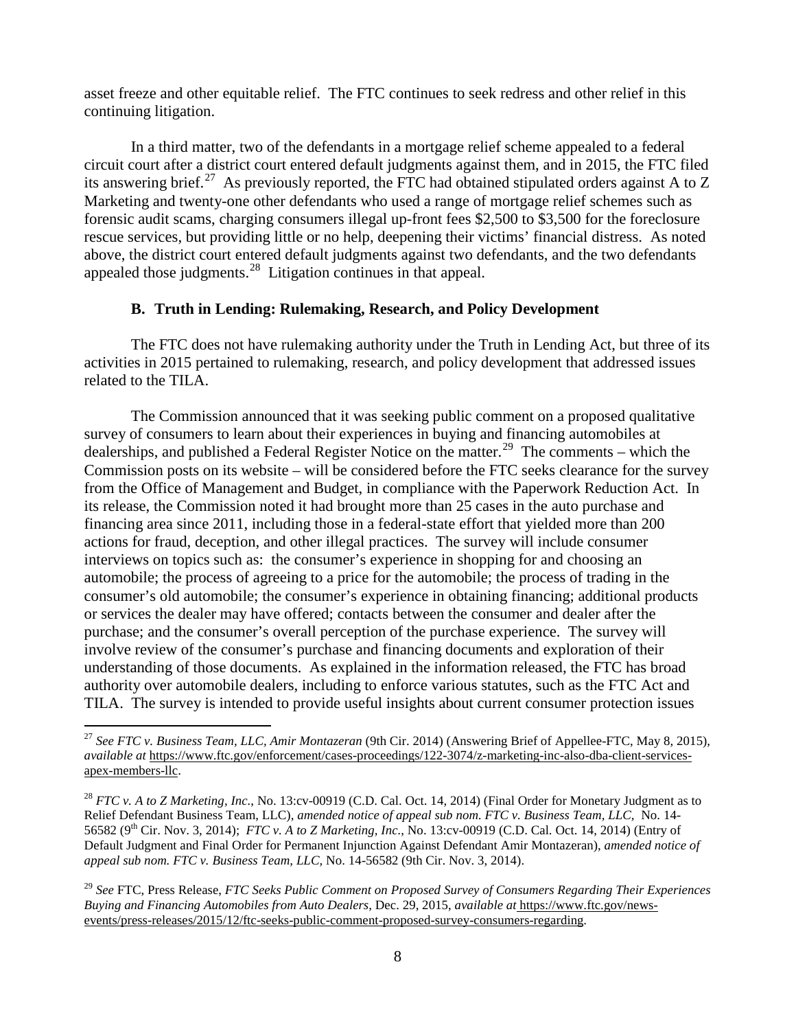asset freeze and other equitable relief. The FTC continues to seek redress and other relief in this continuing litigation.

In a third matter, two of the defendants in a mortgage relief scheme appealed to a federal circuit court after a district court entered default judgments against them, and in 2015, the FTC filed its answering brief.<sup>27</sup> As previously reported, the FTC had obtained stipulated orders against A to Z Marketing and twenty-one other defendants who used a range of mortgage relief schemes such as forensic audit scams, charging consumers illegal up-front fees \$2,500 to \$3,500 for the foreclosure rescue services, but providing little or no help, deepening their victims' financial distress. As noted above, the district court entered default judgments against two defendants, and the two defendants appealed those judgments. [28](#page-7-1) Litigation continues in that appeal.

# **B. Truth in Lending: Rulemaking, Research, and Policy Development**

The FTC does not have rulemaking authority under the Truth in Lending Act, but three of its activities in 2015 pertained to rulemaking, research, and policy development that addressed issues related to the TILA.

The Commission announced that it was seeking public comment on a proposed qualitative survey of consumers to learn about their experiences in buying and financing automobiles at dealerships, and published a Federal Register Notice on the matter.<sup>[29](#page-7-2)</sup> The comments – which the Commission posts on its website – will be considered before the FTC seeks clearance for the survey from the Office of Management and Budget, in compliance with the Paperwork Reduction Act. In its release, the Commission noted it had brought more than 25 cases in the auto purchase and financing area since 2011, including those in a federal-state effort that yielded more than 200 actions for fraud, deception, and other illegal practices. The survey will include consumer interviews on topics such as: the consumer's experience in shopping for and choosing an automobile; the process of agreeing to a price for the automobile; the process of trading in the consumer's old automobile; the consumer's experience in obtaining financing; additional products or services the dealer may have offered; contacts between the consumer and dealer after the purchase; and the consumer's overall perception of the purchase experience. The survey will involve review of the consumer's purchase and financing documents and exploration of their understanding of those documents. As explained in the information released, the FTC has broad authority over automobile dealers, including to enforce various statutes, such as the FTC Act and TILA. The survey is intended to provide useful insights about current consumer protection issues

<span id="page-7-0"></span> <sup>27</sup> *See FTC v. Business Team, LLC, Amir Montazeran* (9th Cir. 2014) (Answering Brief of Appellee-FTC, May 8, 2015), *available at* https://www.ftc.gov/enforcement/cases-proceedings/122-3074/z-marketing-inc-also-dba-client-servicesapex-members-llc.

<span id="page-7-1"></span><sup>28</sup> *FTC v. A to Z Marketing, Inc.*, No. 13:cv-00919 (C.D. Cal. Oct. 14, 2014) (Final Order for Monetary Judgment as to Relief Defendant Business Team, LLC), *amended notice of appeal sub nom. FTC v. Business Team, LLC,* No. 14- 56582 (9th Cir. Nov. 3, 2014); *FTC v. A to Z Marketing, Inc.*, No. 13:cv-00919 (C.D. Cal. Oct. 14, 2014) (Entry of Default Judgment and Final Order for Permanent Injunction Against Defendant Amir Montazeran), *amended notice of appeal sub nom. FTC v. Business Team, LLC,* No. 14-56582 (9th Cir. Nov. 3, 2014).

<span id="page-7-2"></span><sup>29</sup> *See* FTC, Press Release, *FTC Seeks Public Comment on Proposed Survey of Consumers Regarding Their Experiences Buying and Financing Automobiles from Auto Dealers*, Dec. 29, 2015, *available at* https://www.ftc.gov/newsevents/press-releases/2015/12/ftc-seeks-public-comment-proposed-survey-consumers-regarding.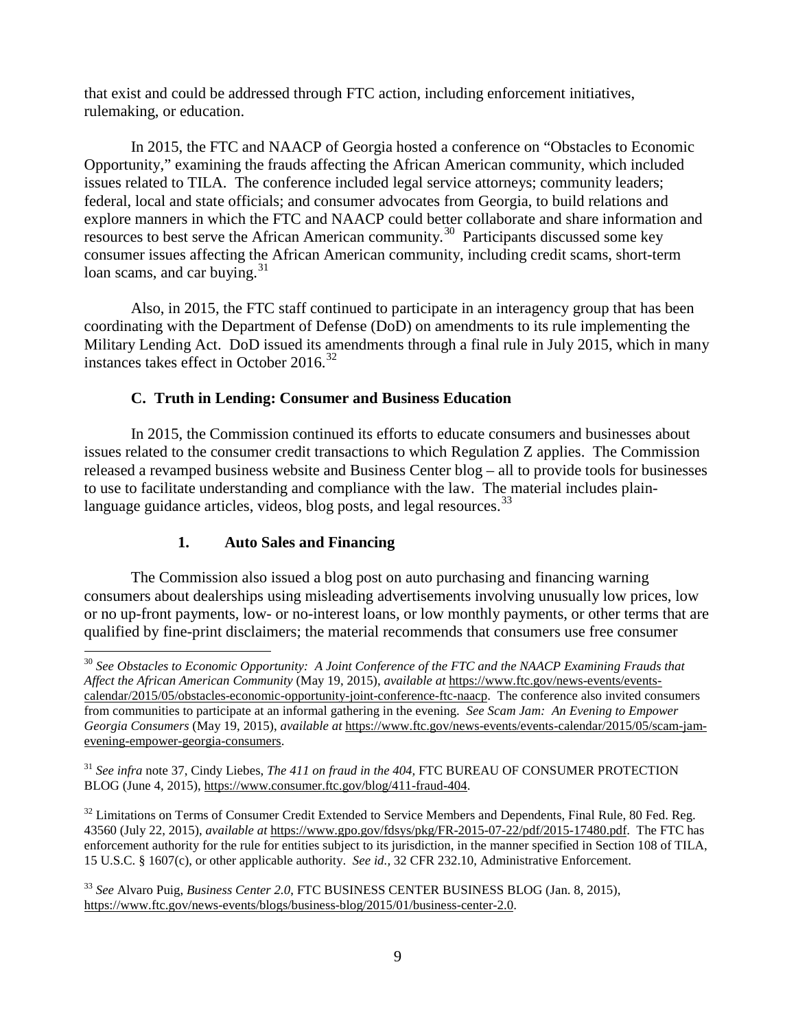that exist and could be addressed through FTC action, including enforcement initiatives, rulemaking, or education.

In 2015, the FTC and NAACP of Georgia hosted a conference on "Obstacles to Economic Opportunity," examining the frauds affecting the African American community, which included issues related to TILA. The conference included legal service attorneys; community leaders; federal, local and state officials; and consumer advocates from Georgia, to build relations and explore manners in which the FTC and NAACP could better collaborate and share information and resources to best serve the African American community.<sup>[30](#page-8-0)</sup> Participants discussed some key consumer issues affecting the African American community, including credit scams, short-term loan scams, and car buying.<sup>[31](#page-8-1)</sup>

Also, in 2015, the FTC staff continued to participate in an interagency group that has been coordinating with the Department of Defense (DoD) on amendments to its rule implementing the Military Lending Act. DoD issued its amendments through a final rule in July 2015, which in many instances takes effect in October 2016.<sup>[32](#page-8-2)</sup>

### **C. Truth in Lending: Consumer and Business Education**

In 2015, the Commission continued its efforts to educate consumers and businesses about issues related to the consumer credit transactions to which Regulation Z applies. The Commission released a revamped business website and Business Center blog – all to provide tools for businesses to use to facilitate understanding and compliance with the law. The material includes plainlanguage guidance articles, videos, blog posts, and legal resources.  $33$ 

## **1. Auto Sales and Financing**

The Commission also issued a blog post on auto purchasing and financing warning consumers about dealerships using misleading advertisements involving unusually low prices, low or no up-front payments, low- or no-interest loans, or low monthly payments, or other terms that are qualified by fine-print disclaimers; the material recommends that consumers use free consumer

<span id="page-8-2"></span><sup>32</sup> Limitations on Terms of Consumer Credit Extended to Service Members and Dependents, Final Rule, 80 Fed. Reg. 43560 (July 22, 2015), *available at* https://www.gpo.gov/fdsys/pkg/FR-2015-07-22/pdf/2015-17480.pdf. The FTC has enforcement authority for the rule for entities subject to its jurisdiction, in the manner specified in Section 108 of TILA, 15 U.S.C. § 1607(c), or other applicable authority. *See id.,* 32 CFR 232.10, Administrative Enforcement.

<span id="page-8-0"></span> <sup>30</sup> *See Obstacles to Economic Opportunity: A Joint Conference of the FTC and the NAACP Examining Frauds that Affect the African American Community* (May 19, 2015), *available at* https://www.ftc.gov/news-events/eventscalendar/2015/05/obstacles-economic-opportunity-joint-conference-ftc-naacp. The conference also invited consumers from communities to participate at an informal gathering in the evening. *See Scam Jam: An Evening to Empower Georgia Consumers* (May 19, 2015), *available at* https://www.ftc.gov/news-events/events-calendar/2015/05/scam-jamevening-empower-georgia-consumers.

<span id="page-8-1"></span><sup>31</sup> *See infra* note 37, Cindy Liebes, *The 411 on fraud in the 404,* FTC BUREAU OF CONSUMER PROTECTION BLOG (June 4, 2015), https://www.consumer.ftc.gov/blog/411-fraud-404.

<span id="page-8-3"></span><sup>33</sup> *See* Alvaro Puig, *Business Center 2.0*, FTC BUSINESS CENTER BUSINESS BLOG (Jan. 8, 2015), https://www.ftc.gov/news-events/blogs/business-blog/2015/01/business-center-2.0.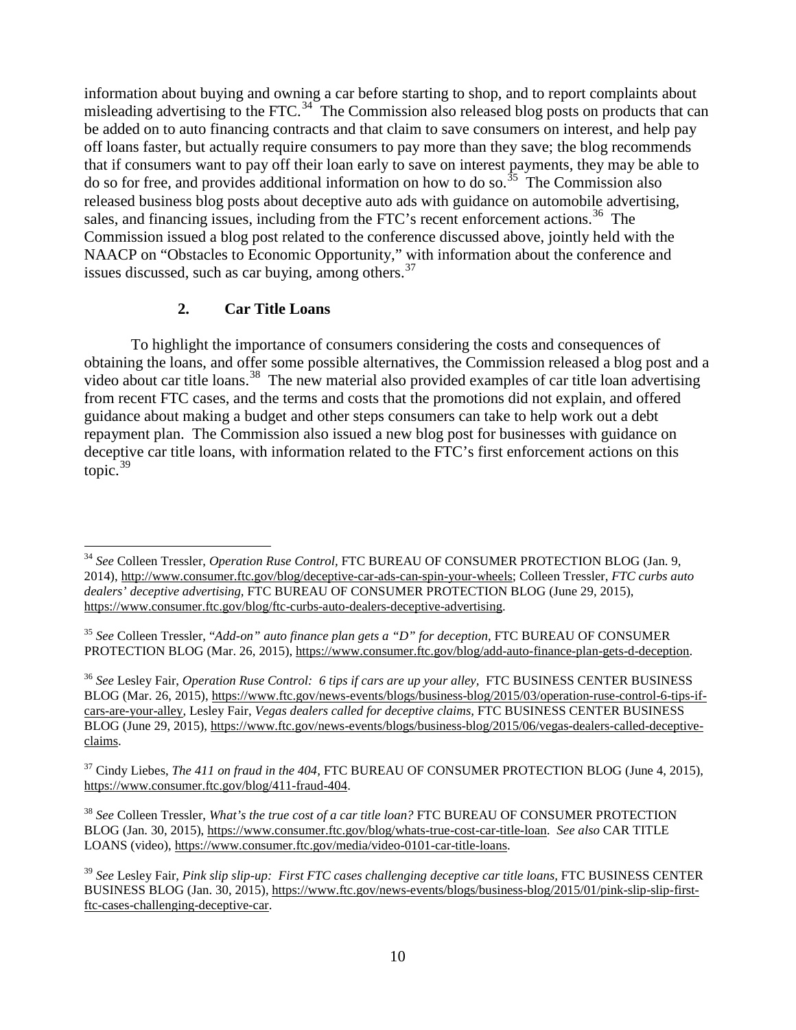information about buying and owning a car before starting to shop, and to report complaints about misleading advertising to the FTC.<sup>[34](#page-9-0)</sup> The Commission also released blog posts on products that can be added on to auto financing contracts and that claim to save consumers on interest, and help pay off loans faster, but actually require consumers to pay more than they save; the blog recommends that if consumers want to pay off their loan early to save on interest payments, they may be able to do so for free, and provides additional information on how to do so.<sup>[35](#page-9-1)</sup> The Commission also released business blog posts about deceptive auto ads with guidance on automobile advertising, sales, and financing issues, including from the FTC's recent enforcement actions.<sup>[36](#page-9-2)</sup> The Commission issued a blog post related to the conference discussed above, jointly held with the NAACP on "Obstacles to Economic Opportunity," with information about the conference and issues discussed, such as car buying, among others. $37$ 

## **2. Car Title Loans**

To highlight the importance of consumers considering the costs and consequences of obtaining the loans, and offer some possible alternatives, the Commission released a blog post and a video about car title loans.<sup>[38](#page-9-4)</sup> The new material also provided examples of car title loan advertising from recent FTC cases, and the terms and costs that the promotions did not explain, and offered guidance about making a budget and other steps consumers can take to help work out a debt repayment plan. The Commission also issued a new blog post for businesses with guidance on deceptive car title loans, with information related to the FTC's first enforcement actions on this topic. $39$ 

<span id="page-9-2"></span><sup>36</sup> *See* Lesley Fair, *Operation Ruse Control: 6 tips if cars are up your alley,* FTC BUSINESS CENTER BUSINESS BLOG (Mar. 26, 2015), https://www.ftc.gov/news-events/blogs/business-blog/2015/03/operation-ruse-control-6-tips-ifcars-are-your-alley, Lesley Fair, *Vegas dealers called for deceptive claims,* FTC BUSINESS CENTER BUSINESS BLOG (June 29, 2015), https://www.ftc.gov/news-events/blogs/business-blog/2015/06/vegas-dealers-called-deceptiveclaims.

<span id="page-9-3"></span><sup>37</sup> Cindy Liebes, *The 411 on fraud in the 404,* FTC BUREAU OF CONSUMER PROTECTION BLOG (June 4, 2015), https://www.consumer.ftc.gov/blog/411-fraud-404.

<span id="page-9-4"></span><sup>38</sup> *See* Colleen Tressler, *What's the true cost of a car title loan?* FTC BUREAU OF CONSUMER PROTECTION BLOG (Jan. 30, 2015), https://www.consumer.ftc.gov/blog/whats-true-cost-car-title-loan. *See also* CAR TITLE LOANS (video), https://www.consumer.ftc.gov/media/video-0101-car-title-loans.

<span id="page-9-0"></span> <sup>34</sup> *See* Colleen Tressler, *Operation Ruse Control,* FTC BUREAU OF CONSUMER PROTECTION BLOG (Jan. 9, 2014), http://www.consumer.ftc.gov/blog/deceptive-car-ads-can-spin-your-wheels; Colleen Tressler, *FTC curbs auto dealers' deceptive advertising,* FTC BUREAU OF CONSUMER PROTECTION BLOG (June 29, 2015), https://www.consumer.ftc.gov/blog/ftc-curbs-auto-dealers-deceptive-advertising.

<span id="page-9-1"></span><sup>35</sup> *See* Colleen Tressler, "*Add-on" auto finance plan gets a "D" for deception,* FTC BUREAU OF CONSUMER PROTECTION BLOG (Mar. 26, 2015), https://www.consumer.ftc.gov/blog/add-auto-finance-plan-gets-d-deception.

<span id="page-9-5"></span><sup>39</sup> *See* Lesley Fair, *Pink slip slip-up: First FTC cases challenging deceptive car title loans,* FTC BUSINESS CENTER BUSINESS BLOG (Jan. 30, 2015), https://www.ftc.gov/news-events/blogs/business-blog/2015/01/pink-slip-slip-firstftc-cases-challenging-deceptive-car.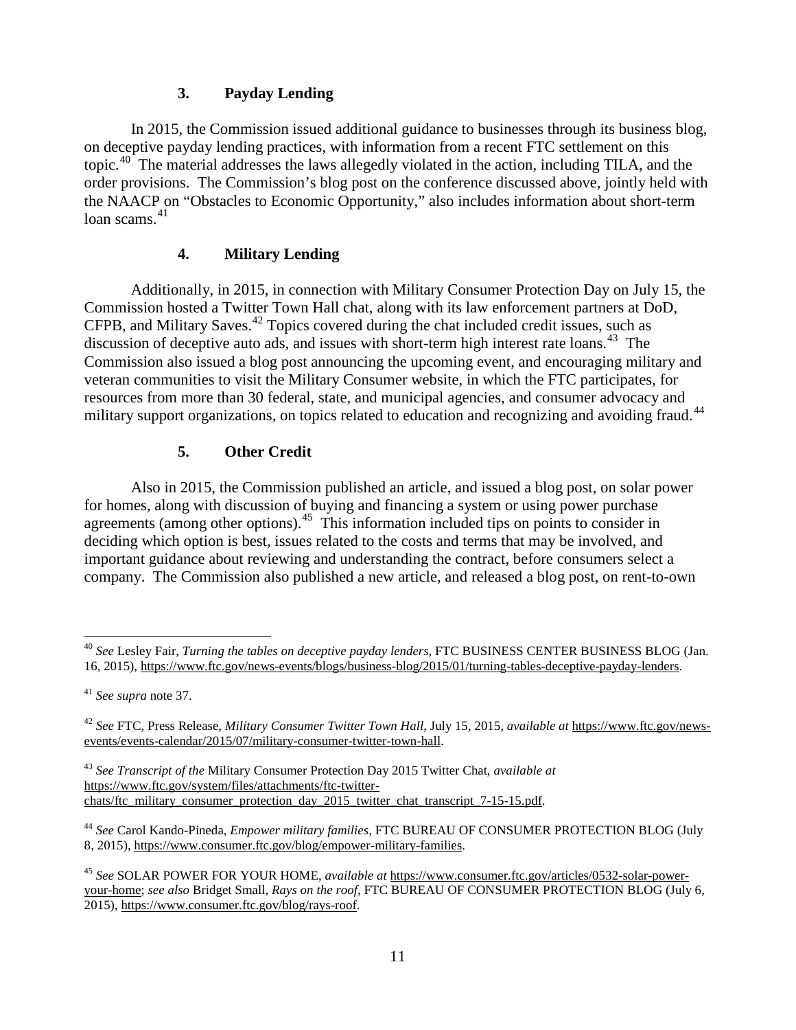## **3. Payday Lending**

In 2015, the Commission issued additional guidance to businesses through its business blog, on deceptive payday lending practices, with information from a recent FTC settlement on this topic.<sup>[40](#page-10-0)</sup> The material addresses the laws allegedly violated in the action, including TILA, and the order provisions. The Commission's blog post on the conference discussed above, jointly held with the NAACP on "Obstacles to Economic Opportunity," also includes information about short-term loan scams. $41$ 

## **4. Military Lending**

Additionally, in 2015, in connection with Military Consumer Protection Day on July 15, the Commission hosted a Twitter Town Hall chat, along with its law enforcement partners at DoD, CFPB, and Military Saves. [42](#page-10-2) Topics covered during the chat included credit issues, such as discussion of deceptive auto ads, and issues with short-term high interest rate loans.<sup>43</sup> The Commission also issued a blog post announcing the upcoming event, and encouraging military and veteran communities to visit the Military Consumer website, in which the FTC participates, for resources from more than 30 federal, state, and municipal agencies, and consumer advocacy and military support organizations, on topics related to education and recognizing and avoiding fraud.<sup>[44](#page-10-4)</sup>

# **5. Other Credit**

Also in 2015, the Commission published an article, and issued a blog post, on solar power for homes, along with discussion of buying and financing a system or using power purchase agreements (among other options).<sup>45</sup> This information included tips on points to consider in deciding which option is best, issues related to the costs and terms that may be involved, and important guidance about reviewing and understanding the contract, before consumers select a company. The Commission also published a new article, and released a blog post, on rent-to-own

<span id="page-10-0"></span> <sup>40</sup> *See* Lesley Fair, *Turning the tables on deceptive payday lenders,* FTC BUSINESS CENTER BUSINESS BLOG (Jan. 16, 2015), https://www.ftc.gov/news-events/blogs/business-blog/2015/01/turning-tables-deceptive-payday-lenders.

<span id="page-10-1"></span><sup>41</sup> *See supra* note 37.

<span id="page-10-2"></span><sup>42</sup> *See* FTC, Press Release, *Military Consumer Twitter Town Hall*, July 15, 2015, *available at* https://www.ftc.gov/newsevents/events-calendar/2015/07/military-consumer-twitter-town-hall.

<span id="page-10-3"></span><sup>43</sup> *See Transcript of the* Military Consumer Protection Day 2015 Twitter Chat, *available at* https://www.ftc.gov/system/files/attachments/ftc-twitterchats/ftc\_military\_consumer\_protection\_day\_2015\_twitter\_chat\_transcript\_7-15-15.pdf.

<span id="page-10-4"></span><sup>44</sup> *See* Carol Kando-Pineda, *Empower military families,* FTC BUREAU OF CONSUMER PROTECTION BLOG (July 8, 2015), https://www.consumer.ftc.gov/blog/empower-military-families.

<span id="page-10-5"></span><sup>45</sup> *See* SOLAR POWER FOR YOUR HOME, *available at* https://www.consumer.ftc.gov/articles/0532-solar-poweryour-home; *see also* Bridget Small, *Rays on the roof*, FTC BUREAU OF CONSUMER PROTECTION BLOG (July 6, 2015), https://www.consumer.ftc.gov/blog/rays-roof.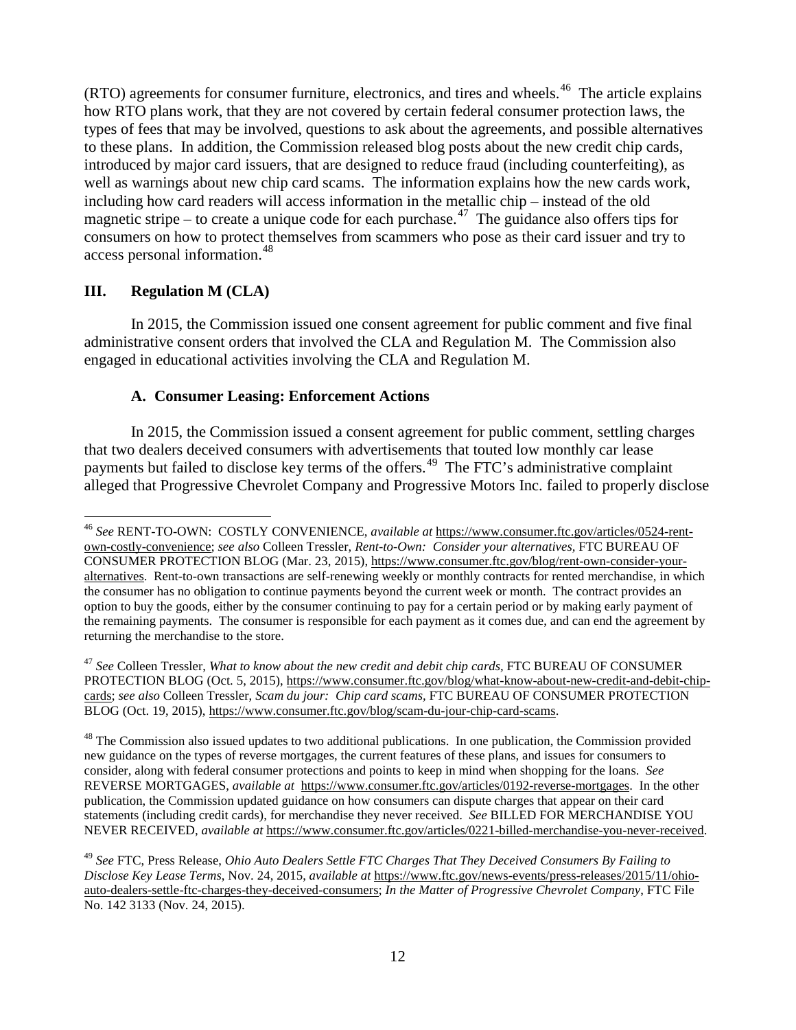$(RTO)$  agreements for consumer furniture, electronics, and tires and wheels.<sup>[46](#page-11-0)</sup> The article explains how RTO plans work, that they are not covered by certain federal consumer protection laws, the types of fees that may be involved, questions to ask about the agreements, and possible alternatives to these plans. In addition, the Commission released blog posts about the new credit chip cards, introduced by major card issuers, that are designed to reduce fraud (including counterfeiting), as well as warnings about new chip card scams. The information explains how the new cards work, including how card readers will access information in the metallic chip – instead of the old magnetic stripe – to create a unique code for each purchase.<sup>[47](#page-11-1)</sup> The guidance also offers tips for consumers on how to protect themselves from scammers who pose as their card issuer and try to access personal information.[48](#page-11-2)

#### **III. Regulation M (CLA)**

In 2015, the Commission issued one consent agreement for public comment and five final administrative consent orders that involved the CLA and Regulation M. The Commission also engaged in educational activities involving the CLA and Regulation M.

#### **A. Consumer Leasing: Enforcement Actions**

In 2015, the Commission issued a consent agreement for public comment, settling charges that two dealers deceived consumers with advertisements that touted low monthly car lease payments but failed to disclose key terms of the offers.<sup>49</sup> The FTC's administrative complaint alleged that [Progressive Chevrolet Company and Progressive Motors Inc.](https://www.ftc.gov/system/files/documents/cases/151124progressivecmpt.pdf) failed to properly disclose

<span id="page-11-2"></span> $48$  The Commission also issued updates to two additional publications. In one publication, the Commission provided new guidance on the types of reverse mortgages, the current features of these plans, and issues for consumers to consider, along with federal consumer protections and points to keep in mind when shopping for the loans. *See* REVERSE MORTGAGES, *available at* https://www.consumer.ftc.gov/articles/0192-reverse-mortgages. In the other publication, the Commission updated guidance on how consumers can dispute charges that appear on their card statements (including credit cards), for merchandise they never received. *See* BILLED FOR MERCHANDISE YOU NEVER RECEIVED, *available at* https://www.consumer.ftc.gov/articles/0221-billed-merchandise-you-never-received.

<span id="page-11-0"></span> <sup>46</sup> *See* RENT-TO-OWN: COSTLY CONVENIENCE, *available at* https://www.consumer.ftc.gov/articles/0524-rentown-costly-convenience; *see also* Colleen Tressler, *Rent-to-Own: Consider your alternatives,* FTC BUREAU OF CONSUMER PROTECTION BLOG (Mar. 23, 2015), https://www.consumer.ftc.gov/blog/rent-own-consider-youralternatives. Rent-to-own transactions are self-renewing weekly or monthly contracts for rented merchandise, in which the consumer has no obligation to continue payments beyond the current week or month. The contract provides an option to buy the goods, either by the consumer continuing to pay for a certain period or by making early payment of the remaining payments. The consumer is responsible for each payment as it comes due, and can end the agreement by returning the merchandise to the store.

<span id="page-11-1"></span><sup>&</sup>lt;sup>47</sup> See Colleen Tressler, *What to know about the new credit and debit chip cards*, FTC BUREAU OF CONSUMER PROTECTION BLOG (Oct. 5, 2015), https://www.consumer.ftc.gov/blog/what-know-about-new-credit-and-debit-chipcards; *see also* Colleen Tressler, *Scam du jour: Chip card scams,* FTC BUREAU OF CONSUMER PROTECTION BLOG (Oct. 19, 2015), https://www.consumer.ftc.gov/blog/scam-du-jour-chip-card-scams.

<span id="page-11-3"></span><sup>49</sup> *See* FTC, Press Release, *Ohio Auto Dealers Settle FTC Charges That They Deceived Consumers By Failing to Disclose Key Lease Terms*, Nov. 24, 2015, *available at* https://www.ftc.gov/news-events/press-releases/2015/11/ohioauto-dealers-settle-ftc-charges-they-deceived-consumers; *In the Matter of Progressive Chevrolet Company*, FTC File No. 142 3133 (Nov. 24, 2015).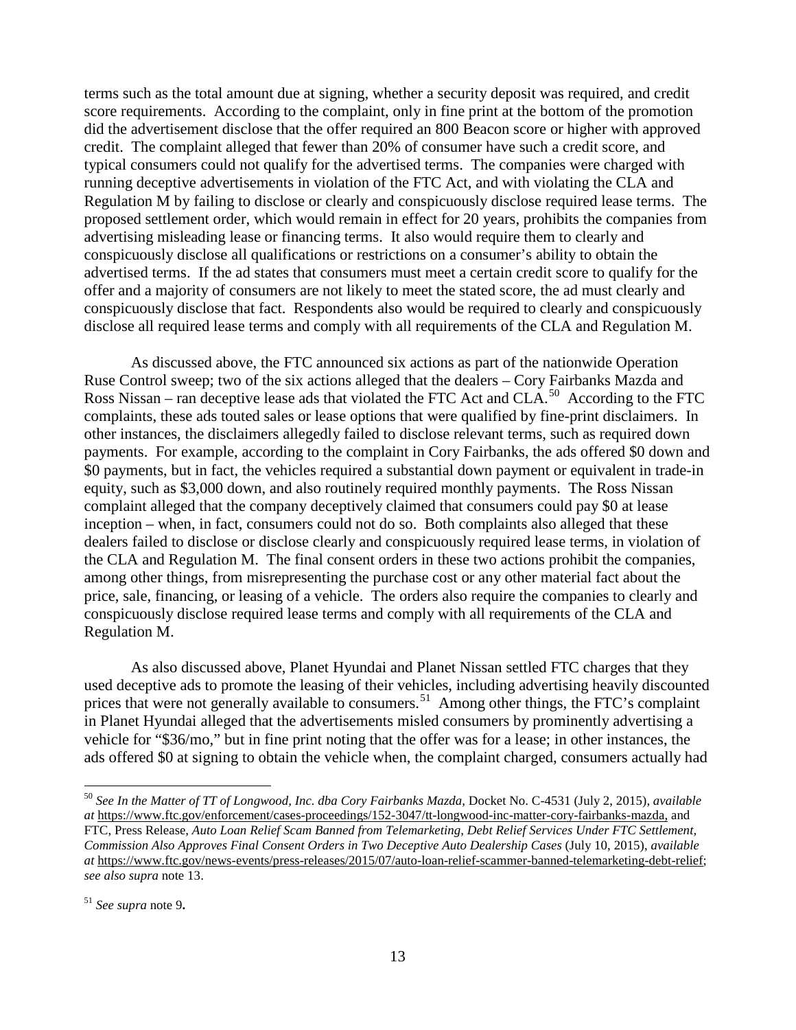terms such as the total amount due at signing, whether a security deposit was required, and credit score requirements. According to the complaint, only in fine print at the bottom of the promotion did the advertisement disclose that the offer required an 800 Beacon score or higher with approved credit. The complaint alleged that fewer than 20% of consumer have such a credit score, and typical consumers could not qualify for the advertised terms. The companies were charged with running deceptive advertisements in violation of the FTC Act, and with violating the CLA and Regulation M by failing to disclose or clearly and conspicuously disclose required lease terms. The proposed settlement order, which would remain in effect for 20 years, prohibits the companies from advertising misleading lease or financing terms. It also would require them to clearly and conspicuously disclose all qualifications or restrictions on a consumer's ability to obtain the advertised terms. If the ad states that consumers must meet a certain credit score to qualify for the offer and a majority of consumers are not likely to meet the stated score, the ad must clearly and conspicuously disclose that fact. Respondents also would be required to clearly and conspicuously disclose all required lease terms and comply with all requirements of the CLA and Regulation M.

As discussed above, the FTC announced six actions as part of the nationwide Operation Ruse Control sweep; two of the six actions alleged that the dealers – [Cory Fairbanks Mazda](https://www.ftc.gov/enforcement/cases-proceedings/152-3047/tt-longwood-inc-matter-cory-fairbanks-mazda) and Ross Nissan – ran deceptive lease ads that violated the FTC Act and CLA.<sup>50</sup> According to the FTC complaints, these ads touted sales or lease options that were qualified by fine-print disclaimers. In other instances, the disclaimers allegedly failed to disclose relevant terms, such as required down payments. For example, according to the complaint in Cory Fairbanks, the ads offered \$0 down and \$0 payments, but in fact, the vehicles required a substantial down payment or equivalent in trade-in equity, such as \$3,000 down, and also routinely required monthly payments. The Ross Nissan complaint alleged that the company deceptively claimed that consumers could pay \$0 at lease inception – when, in fact, consumers could not do so. Both complaints also alleged that these dealers failed to disclose or disclose clearly and conspicuously required lease terms, in violation of the CLA and Regulation M. The final consent orders in these two actions prohibit the companies, among other things, from misrepresenting the purchase cost or any other material fact about the price, sale, financing, or leasing of a vehicle. The orders also require the companies to clearly and conspicuously disclose required lease terms and comply with all requirements of the CLA and Regulation M.

As also discussed above, Planet Hyundai and Planet Nissan settled FTC charges that they used deceptive ads to promote the leasing of their vehicles, including advertising heavily discounted prices that were not generally available to consumers.<sup>[51](#page-12-1)</sup> Among other things, the FTC's complaint in Planet Hyundai alleged that the advertisements misled consumers by prominently advertising a vehicle for "\$36/mo," but in fine print noting that the offer was for a lease; in other instances, the ads offered \$0 at signing to obtain the vehicle when, the complaint charged, consumers actually had

<span id="page-12-0"></span> 50 *See In the Matter of TT of Longwood, Inc. dba Cory Fairbanks Mazda,* Docket No. C-4531 (July 2, 2015), *available at* https://www.ftc.gov/enforcement/cases-proceedings/152-3047/tt-longwood-inc-matter-cory-fairbanks-mazda, and FTC, Press Release, *Auto Loan Relief Scam Banned from Telemarketing, Debt Relief Services Under FTC Settlement, Commission Also Approves Final Consent Orders in Two Deceptive Auto Dealership Cases* (July 10, 2015), *available at* https://www.ftc.gov/news-events/press-releases/2015/07/auto-loan-relief-scammer-banned-telemarketing-debt-relief; *see also supra* note 13.

<span id="page-12-1"></span><sup>51</sup> *See supra* note 9**.**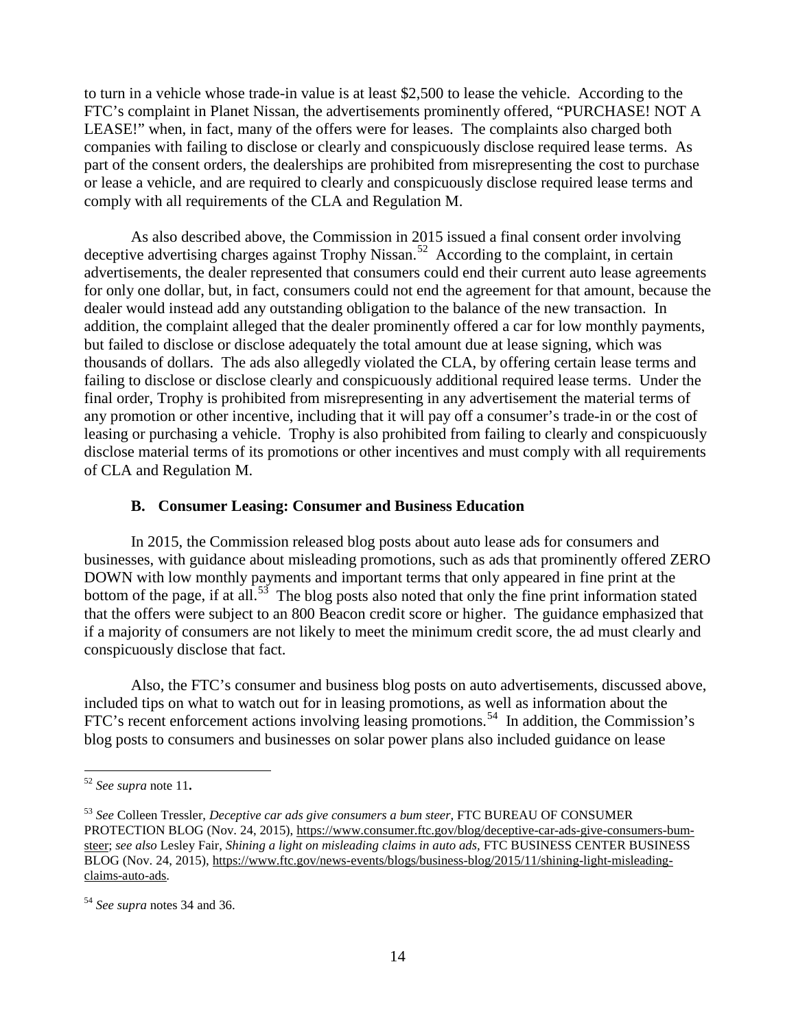to turn in a vehicle whose trade-in value is at least \$2,500 to lease the vehicle. According to the FTC's complaint in Planet Nissan, the advertisements prominently offered, "PURCHASE! NOT A LEASE!" when, in fact, many of the offers were for leases. The complaints also charged both companies with failing to disclose or clearly and conspicuously disclose required lease terms. As part of the consent orders, the dealerships are prohibited from misrepresenting the cost to purchase or lease a vehicle, and are required to clearly and conspicuously disclose required lease terms and comply with all requirements of the CLA and Regulation M.

As also described above, the Commission in 2015 issued a [final consent order](https://www.ftc.gov/system/files/documents/cases/150213trophydo.pdf) involving [deceptive advertising charges against T](https://www.ftc.gov/system/files/documents/cases/150213trophydo.pdf)rophy Nissan.<sup>[52](#page-13-0)</sup> According to the complaint, in certain advertisements, the dealer represented that consumers could end their current auto lease agreements for only one dollar, but, in fact, consumers could not end the agreement for that amount, because the dealer would instead add any outstanding obligation to the balance of the new transaction. In addition, the complaint alleged that the dealer prominently offered a car for low monthly payments, but failed to disclose or disclose adequately the total amount due at lease signing, which was thousands of dollars. The ads also allegedly violated the CLA, by offering certain lease terms and failing to disclose or disclose clearly and conspicuously additional required lease terms. Under the final order, Trophy is prohibited from misrepresenting in any advertisement the material terms of any promotion or other incentive, including that it will pay off a consumer's trade-in or the cost of leasing or purchasing a vehicle. Trophy is also prohibited from failing to clearly and conspicuously disclose material terms of its promotions or other incentives and must comply with all requirements of CLA and Regulation M.

#### **B. Consumer Leasing: Consumer and Business Education**

In 2015, the Commission released blog posts about auto lease ads for consumers and businesses, with guidance about misleading promotions, such as ads that prominently offered ZERO DOWN with low monthly payments and important terms that only appeared in fine print at the bottom of the page, if at all.<sup>53</sup> The blog posts also noted that only the fine print information stated that the offers were subject to an 800 Beacon credit score or higher. The guidance emphasized that if a majority of consumers are not likely to meet the minimum credit score, the ad must clearly and conspicuously disclose that fact.

Also, the FTC's consumer and business blog posts on auto advertisements, discussed above, included tips on what to watch out for in leasing promotions, as well as information about the FTC's recent enforcement actions involving leasing promotions.<sup>[54](#page-13-2)</sup> In addition, the Commission's blog posts to consumers and businesses on solar power plans also included guidance on lease

<span id="page-13-0"></span> <sup>52</sup> *See supra* note 11**.**

<span id="page-13-1"></span><sup>53</sup> *See* Colleen Tressler, *Deceptive car ads give consumers a bum steer,* FTC BUREAU OF CONSUMER PROTECTION BLOG (Nov. 24, 2015), https://www.consumer.ftc.gov/blog/deceptive-car-ads-give-consumers-bumsteer; *see also* Lesley Fair, *Shining a light on misleading claims in auto ads,* FTC BUSINESS CENTER BUSINESS BLOG (Nov. 24, 2015), https://www.ftc.gov/news-events/blogs/business-blog/2015/11/shining-light-misleadingclaims-auto-ads.

<span id="page-13-2"></span><sup>54</sup> *See supra* notes 34 and 36.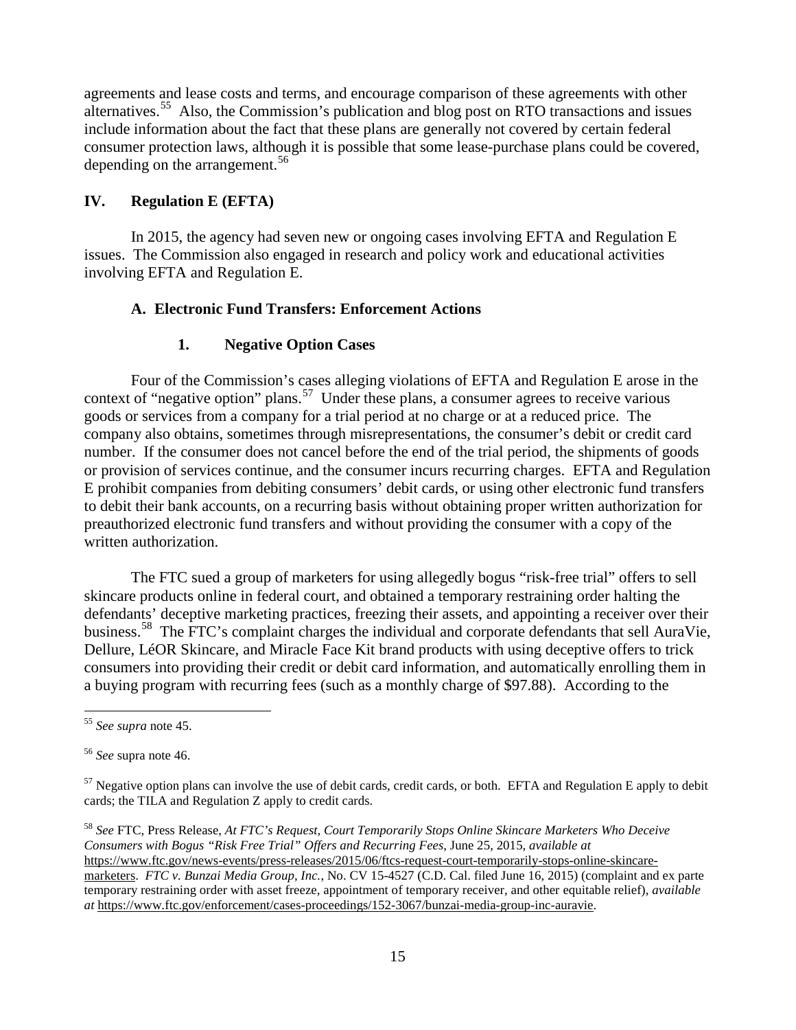agreements and lease costs and terms, and encourage comparison of these agreements with other alternatives.[55](#page-14-0) Also, the Commission's publication and blog post on RTO transactions and issues include information about the fact that these plans are generally not covered by certain federal consumer protection laws, although it is possible that some lease-purchase plans could be covered, depending on the arrangement. [56](#page-14-1)

### **IV. Regulation E (EFTA)**

In 2015, the agency had seven new or ongoing cases involving EFTA and Regulation E issues. The Commission also engaged in research and policy work and educational activities involving EFTA and Regulation E.

### **A. Electronic Fund Transfers: Enforcement Actions**

## **1. Negative Option Cases**

Four of the Commission's cases alleging violations of EFTA and Regulation E arose in the context of "negative option" plans.<sup>[57](#page-14-2)</sup> Under these plans, a consumer agrees to receive various goods or services from a company for a trial period at no charge or at a reduced price. The company also obtains, sometimes through misrepresentations, the consumer's debit or credit card number. If the consumer does not cancel before the end of the trial period, the shipments of goods or provision of services continue, and the consumer incurs recurring charges. EFTA and Regulation E prohibit companies from debiting consumers' debit cards, or using other electronic fund transfers to debit their bank accounts, on a recurring basis without obtaining proper written authorization for preauthorized electronic fund transfers and without providing the consumer with a copy of the written authorization.

The FTC sued a group of marketers for using allegedly bogus "risk-free trial" offers to sell skincare products online in federal court, and obtained a [temporary restraining order](https://www.ftc.gov/system/files/documents/cases/160625auravietro.pdf) halting the defendants' deceptive marketing practices, freezing their assets, and appointing a receiver over their business.<sup>[58](#page-14-3)</sup> The FTC's [complaint charges the individual and corporate defendants t](https://www.ftc.gov/system/files/documents/cases/160625auraviecmpt.pdf)hat sell AuraVie, Dellure, LéOR Skincare, and Miracle Face Kit brand products with using deceptive offers to trick consumers into providing their credit or debit card information, and automatically enrolling them in a buying program with recurring fees (such as a monthly charge of \$97.88). According to the

<span id="page-14-0"></span> <sup>55</sup> *See supra* note 45.

<span id="page-14-1"></span><sup>56</sup> *See* supra note 46.

<span id="page-14-2"></span> $57$  Negative option plans can involve the use of debit cards, credit cards, or both. EFTA and Regulation E apply to debit cards; the TILA and Regulation Z apply to credit cards.

<span id="page-14-3"></span><sup>58</sup> *See* FTC, Press Release, *At FTC's Request, Court Temporarily Stops Online Skincare Marketers Who Deceive Consumers with Bogus "Risk Free Trial" Offers and Recurring Fees*, June 25, 2015, *available at* https://www.ftc.gov/news-events/press-releases/2015/06/ftcs-request-court-temporarily-stops-online-skincaremarketers. *FTC v. Bunzai Media Group, Inc.*, No. CV 15-4527 (C.D. Cal. filed June 16, 2015) (complaint and ex parte temporary restraining order with asset freeze, appointment of temporary receiver, and other equitable relief), *available at* https://www.ftc.gov/enforcement/cases-proceedings/152-3067/bunzai-media-group-inc-auravie.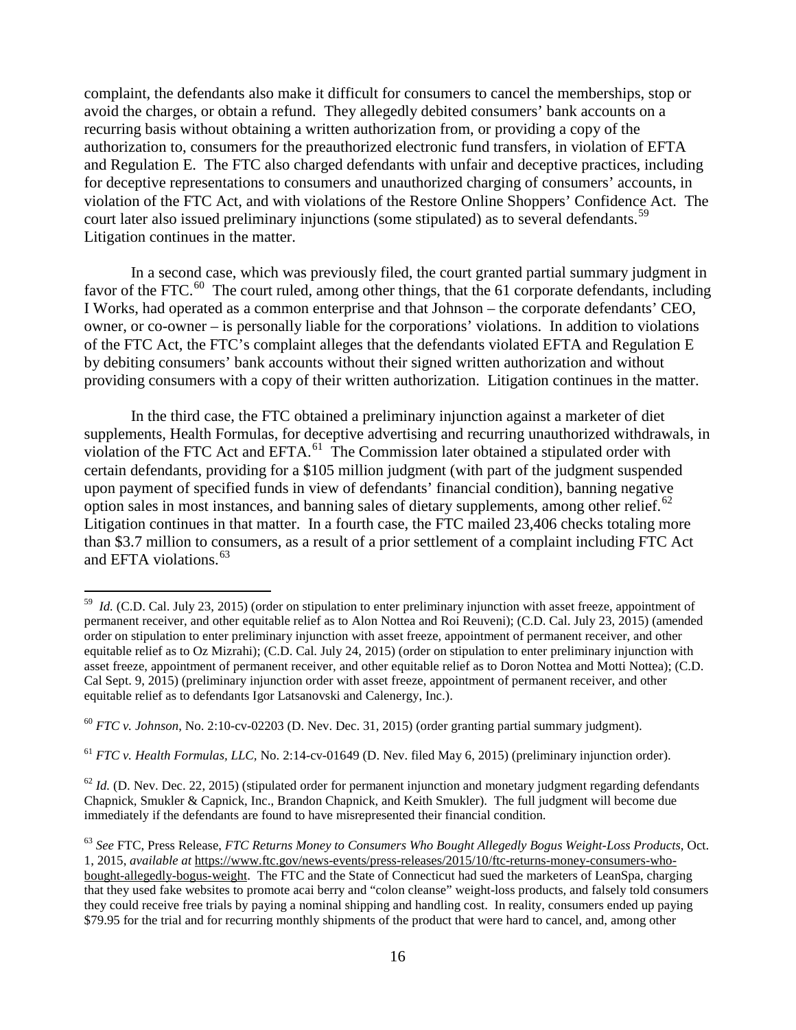complaint, the defendants also make it difficult for consumers to cancel the memberships, stop or avoid the charges, or obtain a refund. They allegedly debited consumers' bank accounts on a recurring basis without obtaining a written authorization from, or providing a copy of the authorization to, consumers for the preauthorized electronic fund transfers, in violation of EFTA and Regulation E. The FTC also charged defendants with unfair and deceptive practices, including for deceptive representations to consumers and unauthorized charging of consumers' accounts, in violation of the FTC Act, and with violations of the Restore Online Shoppers' Confidence Act. The court later also issued preliminary injunctions (some stipulated) as to several defendants.<sup>[59](#page-15-0)</sup> Litigation continues in the matter.

In a second case, which was previously filed, the court granted partial summary judgment in favor of the FTC.<sup>[60](#page-15-1)</sup> The court ruled, among other things, that the 61 corporate defendants, including I Works, had operated as a common enterprise and that Johnson – the corporate defendants' CEO, owner, or co-owner – is personally liable for the corporations' violations. In addition to violations of the FTC Act, the FTC's complaint alleges that the defendants violated EFTA and Regulation E by debiting consumers' bank accounts without their signed written authorization and without providing consumers with a copy of their written authorization. Litigation continues in the matter.

In the third case, the FTC obtained a preliminary injunction against a marketer of diet supplements, Health Formulas, for deceptive advertising and recurring unauthorized withdrawals, in violation of the FTC Act and EFTA.<sup>61</sup> The Commission later obtained a stipulated order with certain defendants, providing for a \$105 million judgment (with part of the judgment suspended upon payment of specified funds in view of defendants' financial condition), banning negative option sales in most instances, and banning sales of dietary supplements, among other relief. $62$ Litigation continues in that matter. In a fourth case, the FTC mailed 23,406 checks totaling more than \$3.7 million to consumers, as a result of a prior settlement of a complaint including FTC Act and EFTA violations. [63](#page-15-4)

<span id="page-15-2"></span><sup>61</sup> *FTC v. Health Formulas, LLC,* No. 2:14-cv-01649 (D. Nev. filed May 6, 2015) (preliminary injunction order).

<span id="page-15-3"></span> $^{62}$  *Id.* (D. Nev. Dec. 22, 2015) (stipulated order for permanent injunction and monetary judgment regarding defendants Chapnick, Smukler & Capnick, Inc., Brandon Chapnick, and Keith Smukler). The full judgment will become due immediately if the defendants are found to have misrepresented their financial condition.

<span id="page-15-0"></span><sup>&</sup>lt;sup>59</sup> *Id.* (C.D. Cal. July 23, 2015) (order on stipulation to enter preliminary injunction with asset freeze, appointment of permanent receiver, and other equitable relief as to Alon Nottea and Roi Reuveni); (C.D. Cal. July 23, 2015) (amended order on stipulation to enter preliminary injunction with asset freeze, appointment of permanent receiver, and other equitable relief as to Oz Mizrahi); (C.D. Cal. July 24, 2015) (order on stipulation to enter preliminary injunction with asset freeze, appointment of permanent receiver, and other equitable relief as to Doron Nottea and Motti Nottea); (C.D. Cal Sept. 9, 2015) (preliminary injunction order with asset freeze, appointment of permanent receiver, and other equitable relief as to defendants Igor Latsanovski and Calenergy, Inc.).

<span id="page-15-1"></span><sup>60</sup> *FTC v. Johnson*, No. 2:10-cv-02203 (D. Nev. Dec. 31, 2015) (order granting partial summary judgment).

<span id="page-15-4"></span><sup>63</sup> *See* FTC, Press Release, *FTC Returns Money to Consumers Who Bought Allegedly Bogus Weight-Loss Products*, Oct. 1, 2015, *available at* https://www.ftc.gov/news-events/press-releases/2015/10/ftc-returns-money-consumers-whobought-allegedly-bogus-weight. The [FTC and the State of Connecticut had sued the marketers of LeanSpa,](https://www.ftc.gov/news-events/press-releases/2011/12/ftc-action-temporarily-halts-operation-allegedly-used-fake-news) charging that they used fake websites to promote acai berry and "colon cleanse" weight-loss products, and falsely told consumers they could receive free trials by paying a nominal shipping and handling cost. In reality, consumers ended up paying \$79.95 for the trial and for recurring monthly shipments of the product that were hard to cancel, and, among other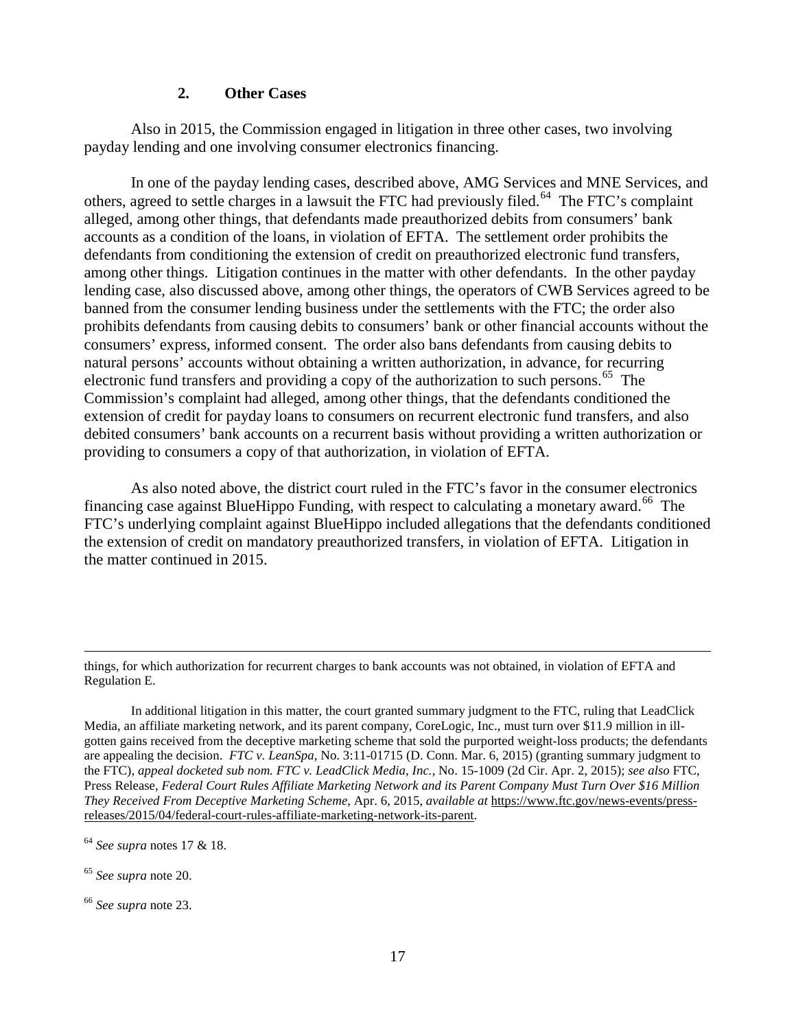#### **2. Other Cases**

Also in 2015, the Commission engaged in litigation in three other cases, two involving payday lending and one involving consumer electronics financing.

In one of the payday lending cases, described above, AMG Services and MNE Services, and others, agreed to settle charges in a lawsuit the FTC had previously filed.<sup>[64](#page-16-0)</sup> The FTC's complaint alleged, among other things, that defendants made preauthorized debits from consumers' bank accounts as a condition of the loans, in violation of EFTA. The settlement order prohibits the defendants from conditioning the extension of credit on preauthorized electronic fund transfers, among other things. Litigation continues in the matter with other defendants. In the other payday lending case, also discussed above, among other things, the operators of CWB Services agreed to be banned from the consumer lending business under the settlements with the FTC; the order also prohibits defendants from causing debits to consumers' bank or other financial accounts without the consumers' express, informed consent. The order also bans defendants from causing debits to natural persons' accounts without obtaining a written authorization, in advance, for recurring electronic fund transfers and providing a copy of the authorization to such persons.<sup>65</sup> The Commission's complaint had alleged, among other things, that the defendants conditioned the extension of credit for payday loans to consumers on recurrent electronic fund transfers, and also debited consumers' bank accounts on a recurrent basis without providing a written authorization or providing to consumers a copy of that authorization, in violation of EFTA.

As also noted above, the district court ruled in the FTC's favor in the consumer electronics financing case against BlueHippo Funding, with respect to calculating a monetary award.<sup>[66](#page-16-2)</sup> The FTC's underlying complaint against BlueHippo included allegations that the defendants conditioned the extension of credit on mandatory preauthorized transfers, in violation of EFTA. Litigation in the matter continued in 2015.

In additional litigation in this matter, the court granted summary judgment to the FTC, ruling that LeadClick Media, an affiliate marketing network, and its parent company, CoreLogic, Inc., must turn over \$11.9 million in illgotten gains received from the deceptive marketing scheme that sold the purported weight-loss products; the defendants are appealing the decision. *FTC v. LeanSpa*, No. 3:11-01715 (D. Conn. Mar. 6, 2015) (granting summary judgment to the FTC), *appeal docketed sub nom. FTC v. LeadClick Media, Inc.*, No. 15-1009 (2d Cir. Apr. 2, 2015); *see also* FTC, Press Release, *Federal Court Rules Affiliate Marketing Network and its Parent Company Must Turn Over \$16 Million They Received From Deceptive Marketing Scheme*, Apr. 6, 2015, *available at* https://www.ftc.gov/news-events/pressreleases/2015/04/federal-court-rules-affiliate-marketing-network-its-parent.

<u>.</u>

things, for which authorization for recurrent charges to bank accounts was not obtained, in violation of EFTA and Regulation E.

<span id="page-16-0"></span><sup>64</sup> *See supra* notes 17 & 18.

<span id="page-16-1"></span><sup>65</sup> *See supra* note 20.

<span id="page-16-2"></span><sup>66</sup> *See supra* note 23.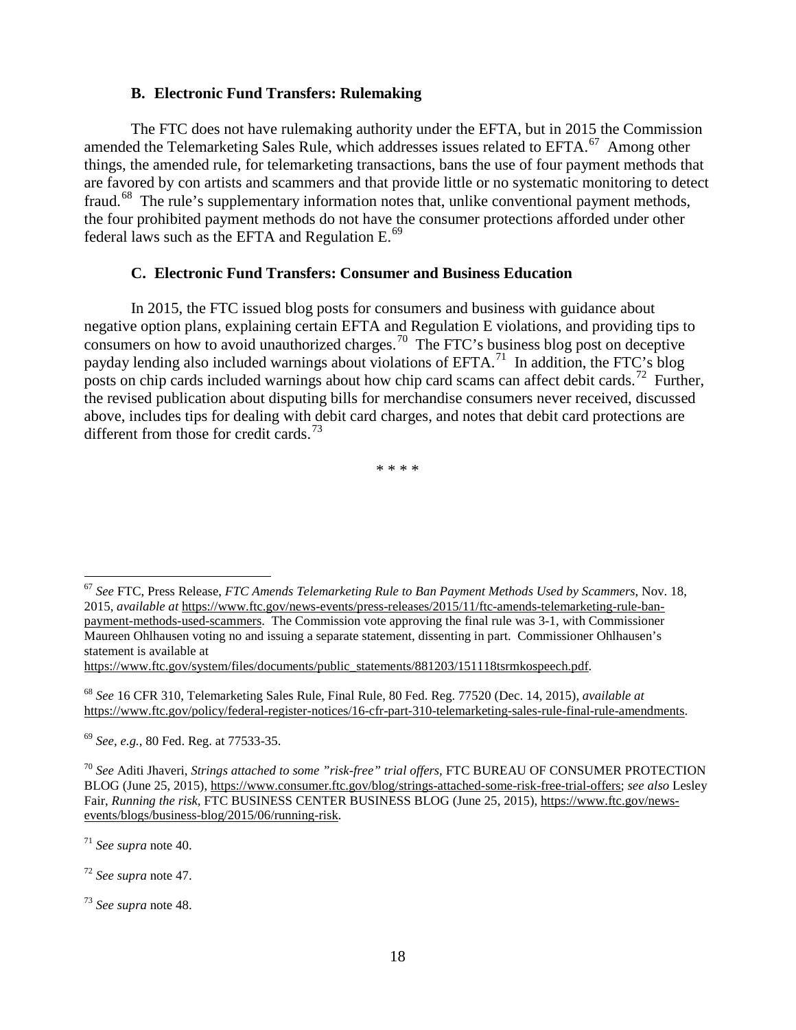#### **B. Electronic Fund Transfers: Rulemaking**

The FTC does not have rulemaking authority under the EFTA, but in 2015 the Commission amended the Telemarketing Sales Rule, which addresses issues related to EFTA.<sup>[67](#page-17-0)</sup> Among other things, the amended rule, for telemarketing transactions, bans the use of four payment methods that are favored by con artists and scammers and that provide little or no systematic monitoring to detect fraud.<sup>[68](#page-17-1)</sup> The rule's supplementary information notes that, unlike conventional payment methods, the four prohibited payment methods do not have the consumer protections afforded under other federal laws such as the EFTA and Regulation E.<sup>69</sup>

#### **C. Electronic Fund Transfers: Consumer and Business Education**

In 2015, the FTC issued blog posts for consumers and business with guidance about negative option plans, explaining certain EFTA and Regulation E violations, and providing tips to consumers on how to avoid unauthorized charges. [70](#page-17-3) The FTC's business blog post on deceptive payday lending also included warnings about violations of  $EFTA$ .<sup>71</sup> In addition, the FTC's blog posts on chip cards included warnings about how chip card scams can affect debit cards.<sup>72</sup> Further, the revised publication about disputing bills for merchandise consumers never received, discussed above, includes tips for dealing with debit card charges, and notes that debit card protections are different from those for credit cards.<sup>[73](#page-17-6)</sup>

\* \* \* \*

https://www.ftc.gov/system/files/documents/public\_statements/881203/151118tsrmkospeech.pdf.

<span id="page-17-1"></span><sup>68</sup> *See* 16 CFR 310, Telemarketing Sales Rule, Final Rule, 80 Fed. Reg. 77520 (Dec. 14, 2015), *available at* https://www.ftc.gov/policy/federal-register-notices/16-cfr-part-310-telemarketing-sales-rule-final-rule-amendments.

<span id="page-17-2"></span><sup>69</sup> *See, e.g.,* 80 Fed. Reg. at 77533-35.

<span id="page-17-4"></span><sup>71</sup> *See supra* note 40.

<span id="page-17-5"></span><sup>72</sup> *See supra* note 47.

<span id="page-17-0"></span> <sup>67</sup> *See* FTC, Press Release, *FTC Amends Telemarketing Rule to Ban Payment Methods Used by Scammers*, Nov. 18, 2015, *available at* https://www.ftc.gov/news-events/press-releases/2015/11/ftc-amends-telemarketing-rule-banpayment-methods-used-scammers. The Commission vote approving the final rule was 3-1, with Commissioner Maureen Ohlhausen voting no and [issuing a separate statement, dissenting in part.](https://www.ftc.gov/public-statements/2015/11/separate-statement-commissioner-maureen-k-ohlhausen-dissenting-part-matter) Commissioner Ohlhausen's statement is available at

<span id="page-17-3"></span><sup>70</sup> *See* Aditi Jhaveri, *Strings attached to some "risk-free" trial offers,* FTC BUREAU OF CONSUMER PROTECTION BLOG (June 25, 2015), https://www.consumer.ftc.gov/blog/strings-attached-some-risk-free-trial-offers; *see also* Lesley Fair, *Running the risk,* FTC BUSINESS CENTER BUSINESS BLOG (June 25, 2015), https://www.ftc.gov/newsevents/blogs/business-blog/2015/06/running-risk.

<span id="page-17-6"></span><sup>73</sup> *See supra* note 48.